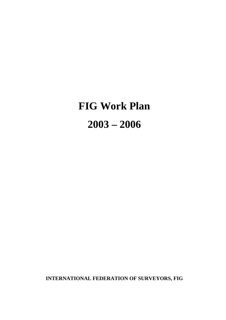# **FIG Work Plan 2003 – 2006**

**INTERNATIONAL FEDERATION OF SURVEYORS, FIG**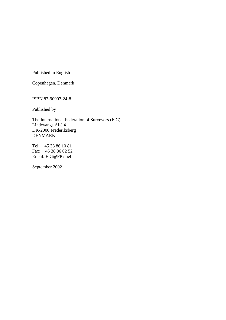Published in English

Copenhagen, Denmark

ISBN 87-90907-24-8

Published by

The International Federation of Surveyors (FIG) Lindevangs Allé 4 DK-2000 Frederiksberg DENMARK

Tel: + 45 38 86 10 81 Fax: + 45 38 86 02 52 Email: FIG@FIG.net

September 2002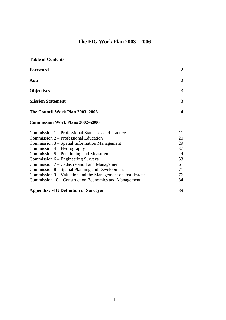# **The FIG Work Plan 2003 - 2006**

| <b>Table of Contents</b>                                                                                                                                                                                                                                                                                                                                                                                                                                                                  | $\mathbf{1}$                                             |
|-------------------------------------------------------------------------------------------------------------------------------------------------------------------------------------------------------------------------------------------------------------------------------------------------------------------------------------------------------------------------------------------------------------------------------------------------------------------------------------------|----------------------------------------------------------|
| Foreword                                                                                                                                                                                                                                                                                                                                                                                                                                                                                  | 2                                                        |
| Aim                                                                                                                                                                                                                                                                                                                                                                                                                                                                                       | 3                                                        |
| <b>Objectives</b>                                                                                                                                                                                                                                                                                                                                                                                                                                                                         | 3                                                        |
| <b>Mission Statement</b>                                                                                                                                                                                                                                                                                                                                                                                                                                                                  | 3                                                        |
| The Council Work Plan 2003–2006                                                                                                                                                                                                                                                                                                                                                                                                                                                           | 4                                                        |
| <b>Commission Work Plans 2002-2006</b>                                                                                                                                                                                                                                                                                                                                                                                                                                                    | 11                                                       |
| Commission 1 – Professional Standards and Practice<br>Commission 2 – Professional Education<br>Commission 3 – Spatial Information Management<br>Commission $4$ – Hydrography<br>Commission 5 – Positioning and Measurement<br>Commission 6 – Engineering Surveys<br>Commission 7 – Cadastre and Land Management<br>Commission 8 – Spatial Planning and Development<br>Commission 9 – Valuation and the Management of Real Estate<br>Commission 10 – Construction Economics and Management | 11<br>20<br>29<br>37<br>44<br>53<br>61<br>71<br>76<br>84 |
| <b>Appendix: FIG Definition of Surveyor</b>                                                                                                                                                                                                                                                                                                                                                                                                                                               | 89                                                       |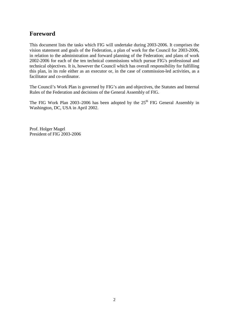# **Foreword**

This document lists the tasks which FIG will undertake during 2003-2006. It comprises the vision statement and goals of the Federation, a plan of work for the Council for 2003-2006, in relation to the administration and forward planning of the Federation; and plans of work 2002-2006 for each of the ten technical commissions which pursue FIG's professional and technical objectives. It is, however the Council which has overall responsibility for fulfilling this plan, in its role either as an executor or, in the case of commission-led activities, as a facilitator and co-ordinator.

The Council's Work Plan is governed by FIG's aim and objectives, the Statutes and Internal Rules of the Federation and decisions of the General Assembly of FIG.

The FIG Work Plan 2003–2006 has been adopted by the 25<sup>th</sup> FIG General Assembly in Washington, DC, USA in April 2002.

Prof. Holger Magel President of FIG 2003-2006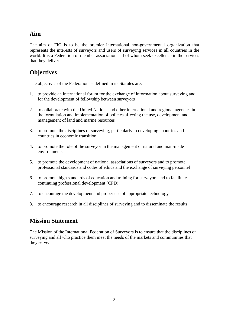# **Aim**

The aim of FIG is to be the premier international non-governmental organization that represents the interests of surveyors and users of surveying services in all countries in the world. It is a Federation of member associations all of whom seek excellence in the services that they deliver.

# **Objectives**

The objectives of the Federation as defined in its Statutes are:

- 1. to provide an international forum for the exchange of information about surveying and for the development of fellowship between surveyors
- 2. to collaborate with the United Nations and other international and regional agencies in the formulation and implementation of policies affecting the use, development and management of land and marine resources
- 3. to promote the disciplines of surveying, particularly in developing countries and countries in economic transition
- 4. to promote the role of the surveyor in the management of natural and man-made environments
- 5. to promote the development of national associations of surveyors and to promote professional standards and codes of ethics and the exchange of surveying personnel
- 6. to promote high standards of education and training for surveyors and to facilitate continuing professional development (CPD)
- 7. to encourage the development and proper use of appropriate technology
- 8. to encourage research in all disciplines of surveying and to disseminate the results.

# **Mission Statement**

The Mission of the International Federation of Surveyors is to ensure that the disciplines of surveying and all who practice them meet the needs of the markets and communities that they serve.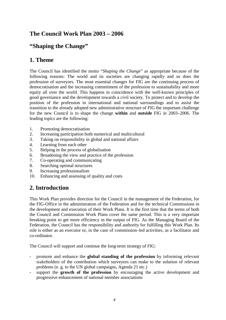# **The Council Work Plan 2003 – 2006**

# **"Shaping the Change"**

# **1. Theme**

The Council has identified the motto "*Shaping the Change*" as appropriate because of the following reasons: The world and its societies are changing rapidly and so does the profession of surveyors. The most essential changes for FIG are the continuing process of democratisation and the increasing commitment of the profession to sustainability and more equity all over the world. This happens in coincidence with the well-known principles of good governance and the development towards a civil society. To protect and to develop the position of the profession in international and national surroundings and to assist the transition to the already adopted new administrative structure of FIG the important challenge for the new Council is to shape the change **within** and **outside** FIG in 2003–2006. The leading topics are the following:

- 1. Promoting democratisation
- 2. Increasing participation both numerical and multicultural
- 3. Taking on responsibility in global and national affairs
- 4. Learning from each other
- 5. Helping in the process of globalisation
- 6. Broadening the view and practice of the profession
- 7. Co-operating and communicating
- 8. Searching optimal structures
- 9. Increasing professionalism
- 10. Enhancing and assessing of quality and costs

# **2. Introduction**

This Work Plan provides direction for the Council in the management of the Federation, for the FIG-Office in the administration of the Federation and for the technical Commissions in the development and execution of their Work Plans. It is the first time that the terms of both the Council and Commission Work Plans cover the same period. This is a very important breaking point to get more efficiency in the output of FIG. As the Managing Board of the Federation, the Council has the responsibility and authority for fulfilling this Work Plan. Its role is either as an executor or, in the case of commission–led activities, as a facilitator and co-ordinator.

The Council will support and continue the long-term strategy of FIG:

- promote and enhance the **global standing of the profession** by informing relevant stakeholders of the contribution which surveyors can make to the solution of relevant problems (e. g. to the UN global campaigns, Agenda 21 etc.)
- support the **growth of the profession** by encouraging the active development and progressive enhancement of national member associations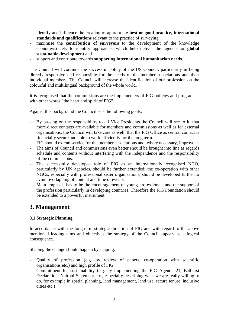- identify and influence the creation of appropriate **best or good practice, international standards and qualifications** relevant to the practice of surveying
- maximise the **contribution of surveyors** to the development of the knowledge economy/society to identify approaches which help deliver the agenda for **global sustainable development** and
- support and contribute towards **supporting international humanitarian needs**.

The Council will continue the successful policy of the US Council, particularly in being directly responsive and responsible for the needs of the member associations and their individual members. The Council will increase the identification of our profession on the colourful and multilingual background of the whole world.

It is recognised that the commissions are the implementers of FIG policies and programs – with other words "the heart and spirit of FIG".

Against this background the Council sets the following goals:

- By passing on the responsibility to all Vice Presidents the Council will see to it, that more direct contacts are available for members and commissions as well as for external organisations; the Council will take care as well, that the FIG Office as central contact is financially secure and able to work efficiently for the long term.
- FIG should extend service for the member associations and, where necessary, improve it.
- The aims of Council and commissions even better should be brought into line as regards schedule and contents without interfering with the independence and the responsibility of the commissions.
- The successfully developed role of FIG as an internationally recognised NGO, particularly by UN agencies, should be further extended; the co-operation with other NGOs, especially with professional sister organisations, should be developed further to avoid overlapping of content and time of events.
- Main emphasis has to be the encouragement of young professionals and the support of the profession particularly in developing countries. Therefore the FIG Foundation should be extended to a powerful instrument.

# **3. Management**

# **3.1 Strategic Planning**

In accordance with the long-term strategic direction of FIG and with regard to the above mentioned leading aims and objectives the strategy of the Council appears as a logical consequence.

Shaping the change should happen by shaping:

- Quality of profession (e.g. by review of papers, co-operation with scientific organisations etc.) and high profile of FIG
- Commitment for sustainability (e.g. by implementing the FIG Agenda 21, Bathurst Declaration, Nairobi Statement etc., especially describing what we are really willing to do, for example in spatial planning, land management, land use, secure tenure, inclusive cities etc.)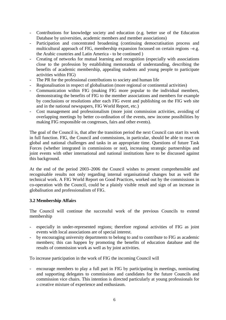- Contributions for knowledge society and education (e.g. better use of the Education Database by universities, academic members and member associations)
- Participation and concentrated broadening (continuing democratisation process and multicultural approach of FIG, membership expansion focussed on certain regions –e.g. the Arabic countries and Latin America - to be continued )
- Creating of networks for mutual learning and recognition (especially with associations close to the profession by establishing memoranda of understanding, describing the benefits of academic membership, appealing students and young people to participate activities within FIG)
- The PR for the professional contributions to society and human life
- Regionalisation in respect of globalisation (more regional or continental activities)
- Communication within FIG (making FIG more popular to the individual members, demonstrating the benefits of FIG to the member associations and members for example by conclusions or resolutions after each FIG event and publishing on the FIG web site and in the national newspapers, FIG World Report, etc.)
- Cost management and professionalism (more joint commission activities, avoiding of overlapping meetings by better co-ordination of the events, new income possibilities by making FIG responsible on congresses, fairs and other events).

The goal of the Council is, that after the transition period the next Council can start its work in full function. FIG, the Council and commissions, in particular, should be able to react on global and national challenges and tasks in an appropriate time. Questions of future Task Forces (whether integrated in commissions or not), increasing strategic partnerships and joint events with other international and national institutions have to be discussed against this background.

At the end of the period 2003–2006 the Council wishes to present comprehensible and recognisable results not only regarding internal organisational changes but as well the technical work. A FIG World Report on Good Practices, worked out by the commissions in co-operation with the Council, could be a plainly visible result and sign of an increase in globalisation and professionalism of FIG.

# **3.2 Membership Affairs**

The Council will continue the successful work of the previous Councils to extend membership

- especially in under-represented regions; therefore regional activities of FIG as joint events with local associations are of special interest.
- by encouraging university departments to belong to and to contribute to FIG as academic members; this can happen by promoting the benefits of education database and the results of commission work as well as by joint activities.

To increase participation in the work of FIG the incoming Council will

- encourage members to play a full part in FIG by participating in meetings, nominating and supporting delegates to commissions and candidates for the future Councils and commission vice chairs. This intention is directed particularly at young professionals for a creative mixture of experience and enthusiasm.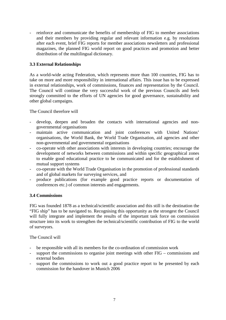- reinforce and communicate the benefits of membership of FIG to member associations and their members by providing regular and relevant information e.g. by resolutions after each event, brief FIG reports for member associations newsletters and professional magazines, the planned FIG world report on good practices and promotion and better distribution of the multilingual dictionary.

# **3.3 External Relationships**

As a world-wide acting Federation, which represents more than 100 countries, FIG has to take on more and more responsibility in international affairs. This issue has to be expressed in external relationships, work of commissions, finances and representation by the Council. The Council will continue the very successful work of the previous Councils and feels strongly committed to the efforts of UN agencies for good governance, sustainability and other global campaigns.

The Council therefore will

- develop, deepen and broaden the contacts with international agencies and nongovernmental organisations
- maintain active communication and joint conferences with United Nations' organisations, the World Bank, the World Trade Organisation, aid agencies and other non-governmental and governmental organisations
- co-operate with other associations with interests in developing countries; encourage the development of networks between commissions and within specific geographical zones to enable good educational practice to be communicated and for the establishment of mutual support systems
- co-operate with the World Trade Organisation in the promotion of professional standards and of global markets for surveying services, and
- produce publications (for example good practice reports or documentation of conferences etc.) of common interests and engagements.

# **3.4 Commissions**

FIG was founded 1878 as a technical/scientific association and this still is the destination the "FIG ship" has to be navigated to. Recognising this opportunity as the strongest the Council will fully integrate and implement the results of the important task force on commission structure into its work to strengthen the technical/scientific contribution of FIG to the world of surveyors.

#### The Council will

- be responsible with all its members for the co-ordination of commission work
- support the commissions to organise joint meetings with other  $FIG \text{commissions}$  and external bodies
- support the commissions to work out a good practice report to be presented by each commission for the handover in Munich 2006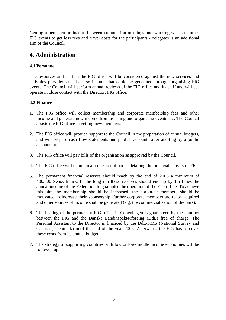Getting a better co-ordination between commission meetings and working weeks or other FIG events to get less fees and travel costs for the participants / delegates is an additional aim of the Council.

# **4. Administration**

### **4.1 Personnel**

The resources and staff in the FIG office will be considered against the new services and activities provided and the new income that could be generated through organising FIG events. The Council will perform annual reviews of the FIG office and its staff and will cooperate in close contact with the Director, FIG office.

### **4.2 Finance**

- 1. The FIG office will collect membership and corporate membership fees and other income and generate new income from assisting and organising events etc. The Council assists the FIG office in getting new members.
- 2. The FIG office will provide support to the Council in the preparation of annual budgets, and will prepare cash flow statements and publish accounts after auditing by a public accountant.
- 3. The FIG office will pay bills of the organisation as approved by the Council.
- 4. The FIG office will maintain a proper set of books detailing the financial activity of FIG.
- 5. The permanent financial reserves should reach by the end of 2006 a minimum of 400,000 Swiss francs. In the long run these reserves should end up by 1.5 times the annual income of the Federation to guarantee the operation of the FIG office. To achieve this aim the membership should be increased, the corporate members should be motivated to increase their sponsorship, further corporate members are to be acquired and other sources of income shall be generated (e.g. the commercialisation of the fairs).
- 6. The hosting of the permanent FIG office in Copenhagen is guaranteed by the contract between the FIG and the Danske Landinspektørforeing (DdL) free of charge. The Personal Assistant to the Director is financed by the DdL/KMS (National Survey and Cadastre, Denmark) until the end of the year 2003. Afterwards the FIG has to cover these costs from its annual budget.
- 7. The strategy of supporting countries with low or low-middle income economies will be followed up.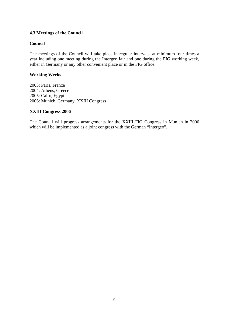# **4.3 Meetings of the Council**

### **Council**

The meetings of the Council will take place in regular intervals, at minimum four times a year including one meeting during the Intergeo fair and one during the FIG working week, either in Germany or any other convenient place or in the FIG office.

#### **Working Weeks**

2003: Paris, France 2004: Athens, Greece 2005: Cairo, Egypt 2006: Munich, Germany, XXIII Congress

### **XXIII Congress 2006**

The Council will progress arrangements for the XXIII FIG Congress in Munich in 2006 which will be implemented as a joint congress with the German "Intergeo".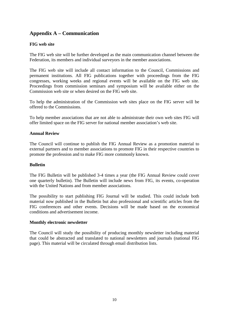# **Appendix A – Communication**

## **FIG web site**

The FIG web site will be further developed as the main communication channel between the Federation, its members and individual surveyors in the member associations.

The FIG web site will include all contact information to the Council, Commissions and permanent institutions. All FIG publications together with proceedings from the FIG congresses, working weeks and regional events will be available on the FIG web site. Proceedings from commission seminars and symposium will be available either on the Commission web site or when desired on the FIG web site.

To help the administration of the Commission web sites place on the FIG server will be offered to the Commissions.

To help member associations that are not able to administrate their own web sites FIG will offer limited space on the FIG server for national member association's web site.

#### **Annual Review**

The Council will continue to publish the FIG Annual Review as a promotion material to external partners and to member associations to promote FIG in their respective countries to promote the profession and to make FIG more commonly known.

#### **Bulletin**

The FIG Bulletin will be published 3-4 times a year (the FIG Annual Review could cover one quarterly bulletin). The Bulletin will include news from FIG, its events, co-operation with the United Nations and from member associations.

The possibility to start publishing FIG Journal will be studied. This could include both material now published in the Bulletin but also professional and scientific articles from the FIG conferences and other events. Decisions will be made based on the economical conditions and advertisement income.

#### **Monthly electronic newsletter**

The Council will study the possibility of producing monthly newsletter including material that could be abstracted and translated to national newsletters and journals (national FIG page). This material will be circulated through email distribution lists.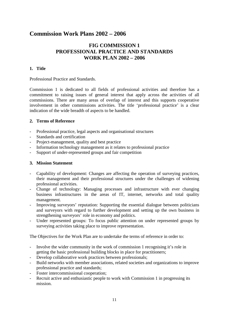# **Commission Work Plans 2002 – 2006**

# **FIG COMMISSION 1 PROFESSIONAL PRACTICE AND STANDARDS WORK PLAN 2002 – 2006**

# **1. Title**

Professional Practice and Standards.

Commission 1 is dedicated to all fields of professional activities and therefore has a commitment to raising issues of general interest that apply across the activities of all commissions. There are many areas of overlap of interest and this supports cooperative involvement in other commissions activities. The title 'professional practice' is a clear indication of the wide breadth of aspects to be handled.

### **2. Terms of Reference**

- Professional practice, legal aspects and organisational structures
- Standards and certification
- Project-management, quality and best practice
- Information technology management as it relates to professional practice
- Support of under-represented groups and fair competition

#### **3. Mission Statement**

- Capability of development: Changes are affecting the operation of surveying practices, their management and their professional structures under the challenges of widening professional activities.
- Change of technology: Managing processes and infrastructure with ever changing business infrastructures in the areas of IT, internet, networks and total quality management.
- Improving surveyors' reputation: Supporting the essential dialogue between politicians and surveyors with regard to further development and setting up the own business in strengthening surveyors' role in economy and politics.
- Under represented groups: To focus public attention on under represented groups by surveying activities taking place to improve representation.

The Objectives for the Work Plan are to undertake the terms of reference in order to:

- Involve the wider community in the work of commission 1 recognising it's role in getting the basic professional building blocks in place for practitioners;
- Develop collaborative work practices between professionals;
- Build networks with member associations, related societies and organizations to improve professional practice and standards;
- Foster intercommissional cooperation;
- Recruit active and enthusiastic people to work with Commission 1 in progressing its mission.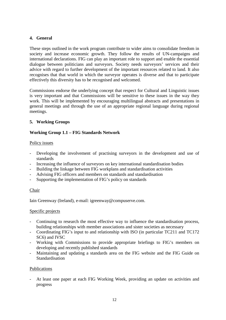# **4. General**

These steps outlined in the work program contribute to wider aims to consolidate freedom in society and increase economic growth. They follow the results of UN-campaigns and international declarations. FIG can play an important role to support and enable the essential dialogue between politicians and surveyors. Society needs surveyors' services and their advice with regard to further development of the important resources related to land. It also recognises that that world in which the surveyor operates is diverse and that to participate effectively this diversity has to be recognised and welcomed.

Commissions endorse the underlying concept that respect for Cultural and Linguistic issues is very important and that Commissions will be sensitive to these issues in the way they work. This will be implemented by encouraging multilingual abstracts and presentations in general meetings and through the use of an appropriate regional language during regional meetings.

# **5. Working Groups**

### **Working Group 1.1 – FIG Standards Network**

#### Policy issues

- Developing the involvement of practising surveyors in the development and use of standards
- Increasing the influence of surveyors on key international standardisation bodies
- Building the linkage between FIG workplans and standardisation activities
- Advising FIG officers and members on standards and standardisation
- Supporting the implementation of FIG's policy on standards

#### Chair

Iain Greenway (Ireland), e-mail: igreenway@compuserve.com.

#### Specific projects

- Continuing to research the most effective way to influence the standardisation process, building relationships with member associations and sister societies as necessary
- Coordinating FIG's input to and relationship with ISO (in particular TC211 and TC172 SC6) and IVSC
- Working with Commissions to provide appropriate briefings to FIG's members on developing and recently published standards
- Maintaining and updating a standards area on the FIG website and the FIG Guide on Standardisation

#### Publications

At least one paper at each FIG Working Week, providing an update on activities and progress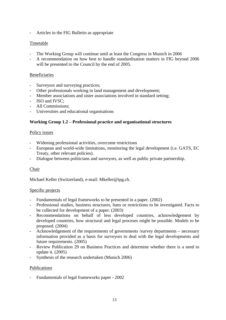- Articles in the FIG Bulletin as appropriate

# Timetable

- The Working Group will continue until at least the Congress in Munich in 2006
- A recommendation on how best to handle standardisation matters in FIG beyond 2006 will be presented to the Council by the end of 2005.

## Beneficiaries

- Surveyors and surveying practices;
- Other professionals working in land management and development;
- Member associations and sister associations involved in standard setting;
- ISO and IVSC;
- All Commissions;
- Universities and educational organisations

### **Working Group 1.2 – Professional practice and organisational structures**

#### Policy issues

- Widening professional activities, overcome restrictions
- European and world-wide limitations, monitoring the legal development (i.e. GATS, EC Treaty, other relevant policies).
- Dialogue between politicians and surveyors, as well as public private partnership.

# Chair

Michael Keller (Switzerland), e-mail: Mkeller@ipg.ch.

#### Specific projects

- Fundamentals of legal frameworks to be presented in a paper. (2002)
- Professional studies, business structures, bans or restrictions to be investigated. Facts to be collected for development of a paper. (2003)
- Recommendations on behalf of less developed countries, acknowledgement by developed countries, how structural and legal proceses might be possible. Models to be proposed. (2004)
- Acknowledgement of the requirements of governments /survey departments necessary information provided as a basis for surveyors to deal with the legal developments and future requirements. (2005)
- Review Publication 29 on Business Practices and determine whether there is a need to update it. (2005)
- Synthesis of the research undertaken (Munich 2006)

#### Publications

- Fundamentals of legal frameworks paper - 2002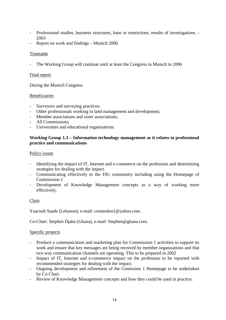- Professional studies, business structures, bans or restrictions, results of investigations. 2003
- Report on work and findings Munich 2006

### **Timetable**

The Working Group will continue until at least the Congress in Munich in 2006

#### Final report

During the Munich Congress

#### Beneficiaries

- Surveyors and surveying practices;
- Other professionals working in land management and development;
- Member associations and sister associations:
- All Commissions:
- Universities and educational organisations.

### **Working Group 1.3 – Information technology management as it relates to professional practice and communications**

#### Policy issues

- Identifying the impact of IT, Internet and e-commerce on the profession and determining strategies for dealing with the impact.
- Communicating effectively to the FIG community including using the Homepage of Commission 1
- Development of Knowledge Management concepts as a way of working more effectively.

#### Chair

Yaacoub Saade (Lebanon), e-mail: comandoo1@yahoo.com.

Co-Chair: Stephen Djaba (Ghana), e-mail: Stephen@ghana.com.

#### Specific projects

- Produce a communication and marketing plan for Commission 1 activities to support its work and ensure that key messages are being received by member organizations and that two way communication channels are operating. This to be prepared in 2002
- Impact of IT, Internet and e-commerce impact on the profession to be reported with recommended strategies for dealing with the impact.
- Ongoing development and refinement of the Comission 1 Homepage to be undertaken by Co-Chair.
- Review of Knowledge Management concepts and how they could be used in practice.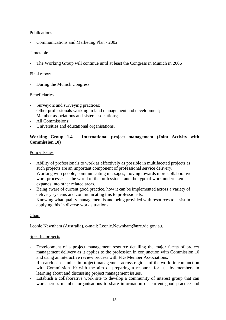# Publications

- Communications and Marketing Plan - 2002

## Timetable

The Working Group will continue until at least the Congress in Munich in 2006

#### Final report

- During the Munich Congress

### Beneficiaries

- Surveyors and surveying practices;
- Other professionals working in land management and development;
- Member associations and sister associations;
- All Commissions;
- Universities and educational organisations.

# **Working Group 1.4 – International project management (Joint Activity with Commission 10)**

### Policy Issues

- Ability of professionals to work as effectively as possible in multifaceted projects as such projects are an important component of professional service delivery.
- Working with people, communicating messages, moving towards more collaborative work processes as the world of the professional and the type of work undertaken expands into other related areas.
- Being aware of current good practice, how it can be implemented across a variety of delivery systems and communicating this to professionals.
- Knowing what quality management is and being provided with resources to assist in applying this in diverse work situations.

# Chair

Leonie Newnham (Australia), e-mail: Leonie.Newnham@nre.vic.gov.au.

#### Specific projects

- Development of a project management resource detailing the major facets of project management delivery as it applies to the profession in conjunction with Commission 10 and using an interactive review process with FIG Member Associations.
- Research case studies in project management across regions of the world in conjunction with Commission 10 with the aim of preparing a resource for use by members in learning about and discussing project management issues.
- Establish a collaborative work site to develop a community of interest group that can work across member organisations to share information on current good practice and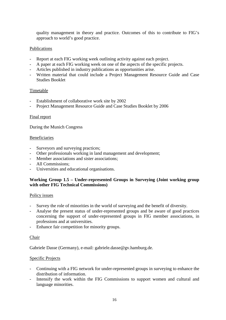quality management in theory and practice. Outcomes of this to contribute to FIG's approach to world's good practice.

## Publications

- Report at each FIG working week outlining activity against each project.
- A paper at each FIG working week on one of the aspects of the specific projects.
- Articles published in industry publications as opportunities arise.
- Written material that could include a Project Management Resource Guide and Case Studies Booklet

#### Timetable

- Establishment of collaborative work site by 2002
- Project Management Resource Guide and Case Studies Booklet by 2006

#### Final report

During the Munich Congress

#### Beneficiaries

- Surveyors and surveying practices;
- Other professionals working in land management and development;
- Member associations and sister associations;
- All Commissions;
- Universities and educational organisations.

### **Working Group 1.5 – Under-represented Groups in Surveying (Joint working group with other FIG Technical Commissions)**

#### Policy issues

- Survey the role of minorities in the world of surveying and the benefit of diversity.
- Analyse the present status of under-represented groups and be aware of good practices concerning the support of under-represented groups in FIG member associations, in professions and at universities.
- Enhance fair competition for minority groups.

#### Chair

Gabriele Dasse (Germany), e-mail: gabriele.dasse@gv.hamburg.de.

#### Specific Projects

- Continuing with a FIG network for under-represented groups in surveying to enhance the distribution of information.
- Intensify the work within the FIG Commissions to support women and cultural and language minorities.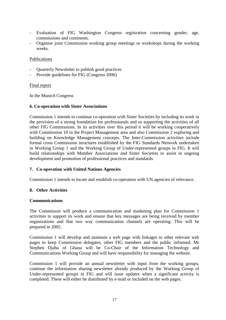- Evaluation of FIG Washington Congress registration concerning gender, age, commissions and continents.
- Organise joint Commission working group meetings or workshops during the working weeks.

#### Publications

- Quarterly Newsletter to publish good practices
- Provide guidelines for FIG (Congress 2006)

#### Final report

In the Munich Congress

#### **6. Co-operation with Sister Associations**

Commission 1 intends to continue co-operation with Sister Societies by including its work in the provision of a strong foundation for professionals and so supporting the activities of all other FIG Commissions. In its activities over this period it will be working cooperatively with Commission 10 in the Project Management area and also Commission 2 exploring and building on Knowledge Management concepts. The Inter-Commission activities include formal cross Commission structures established by the FIG Standards Network undertaken in Working Group 1 and the Working Group of Under-represented groups in FIG. It will build relationships with Member Associations and Sister Societies to assist in ongoing development and promotion of professional practices and standards.

#### **7. Co-operation with United Nations Agencies**

Commission 1 intends to locate and establish co-operation with UN agencies of relevance.

#### **8. Other Activities**

#### **Communications**

The Commisson will produce a communication and marketing plan for Commission 1 activities to support its work and ensure that key messages are being received by member organizations and that two way communication channels are operating. This will be prepared in 2002.

Commission 1 will develop and maintain a web page with linkages to other relevant web pages to keep Commission delegates, other FIG members and the public informed. Mr Stephen Djaba of Ghana will be Co-Chair of the Information Technology and Communications Working Group and will have responsibility for managing the website.

Commission 1 will provide an annual newsletter with input from the working groups, continue the information sharing newsletter already produced by the Working Group of Under-represented groups in FIG and will issue updates when a significant activity is completed. These will either be distributed by e-mail or included on the web pages.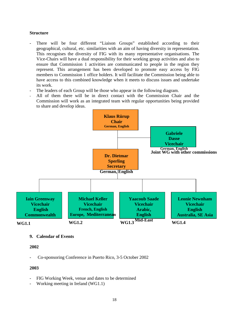#### **Structure**

- There will be four different "Liaison Groups" established according to their geographical, cultural, etc. similarities with an aim of having diversity in representation. This recognises the diversity of FIG with its many representative organisations. The Vice-Chairs will have a dual responsibility for their working group activities and also to ensure that Commission 1 activities are communicated to people in the region they represent. This arrangement has been developed to promote easy access by FIG members to Commission 1 office holders. It will facilitate the Commission being able to have access to this combined knowledge when it meets to discuss issues and undertake its work.
- The leaders of each Group will be those who appear in the following diagram.
- All of them there will be in direct contact with the Commission Chair and the Commission will work as an integrated team with regular opportunities being provided to share and develop ideas.



#### **9. Calendar of Events**

#### **2002**

- Co-sponsoring Conference in Puerto Rico, 3-5 October 2002

#### **2003**

- FIG Working Week, venue and dates to be determined
- Working meeting in Ireland (WG1.1)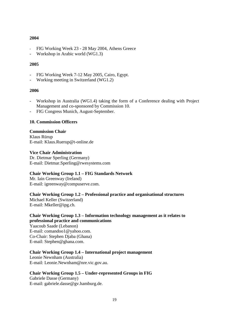#### **2004**

- FIG Working Week 23 28 May 2004, Athens Greece
- Workshop in Arabic world (WG1.3)

### **2005**

- FIG Working Week 7-12 May 2005, Cairo, Egypt.
- Working meeting in Switzerland (WG1.2)

### **2006**

- Workshop in Australia (WG1.4) taking the form of a Conference dealing with Project Management and co-sponsored by Commission 10.
- FIG Congress Munich, August-September.

#### **10. Commission Officers**

#### **Commission Chair**

Klaus Rürup E-mail: Klaus.Ruerup@t-online.de

#### **Vice Chair Administration**

Dr. Dietmar Sperling (Germany) E-mail: Dietmar.Sperling@rwesystems.com

# **Chair Working Group 1.1 – FIG Standards Network**

Mr. Iain Greenway (Ireland) E-mail: igreenway@compuserve.com.

# **Chair Working Group 1.2 – Professional practice and organisational structures**

Michael Keller (Switzerland) E-mail: Mkeller@ipg.ch.

# **Chair Working Group 1.3 – Information technology management as it relates to professional practice and communications**

Yaacoub Saade (Lebanon) E-mail: comandoo1@yahoo.com. Co-Chair: Stephen Djaba (Ghana) E-mail: Stephen@ghana.com.

# **Chair Working Group 1.4 – International project management**

Leonie Newnham (Australia) E-mail: Leonie.Newnham@nre.vic.gov.au.

#### **Chair Working Group 1.5 – Under-represented Groups in FIG**

Gabriele Dasse (Germany) E-mail: gabriele.dasse@gv.hamburg.de.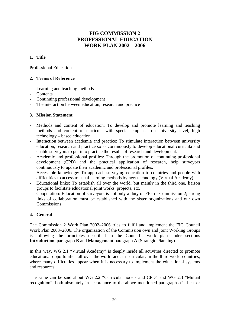# **FIG COMMISSION 2 PROFESSIONAL EDUCATION WORK PLAN 2002 – 2006**

# **1. Title**

Professional Education.

# **2. Terms of Reference**

- Learning and teaching methods
- **Contents**
- Continuing professional development
- The interaction between education, research and practice

# **3. Mission Statement**

- Methods and content of education: To develop and promote learning and teaching methods and content of curricula with special emphasis on university level, high technology – based education.
- Interaction between academia and practice: To stimulate interaction between university education, research and practice so as continuously to develop educational curricula and enable surveyors to put into practice the results of research and development.
- Academic and professional profiles: Through the promotion of continuing professional development (CPD) and the practical application of research, help surveyors continuously to update their academic and professional profiles.
- Accessible knowledge: To approach surveying education to countries and people with difficulties to access to usual learning methods by new technology (Virtual Academy).
- Educational links: To establish all over the world, but mainly in the third one, liaison groups to facilitate educational joint works, projects, etc.
- Cooperation: Education of surveyors is not only a duty of FIG or Commission 2; strong links of collaboration must be established with the sister organizations and our own Commissions.

#### **4. General**

The Commission 2 Work Plan 2002–2006 tries to fulfil and implement the FIG Council Work Plan 2003–2006. The organization of the Commission own and joint Working Groups is following the principles described in the Council's work plan under sections **Introduction**, paragraph **B** and **Management** paragraph **A** (Strategic Planning).

In this way, WG 2.1 "Virtual Academy" is deeply inside all activities directed to promote educational opportunities all over the world and, in particular, in the third world countries, where many difficulties appear when it is necessary to implement the educational systems and resources.

The same can be said about WG 2.2 "Curricula models and CPD" and WG 2.3 "Mutual recognition", both absolutely in accordance to the above mentioned paragraphs ("...best or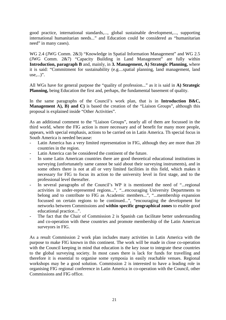good practice, international standards,..., global sustainable development,..., supporting international humanitarian needs..." and Education could be considered as "humanitarian need" in many cases).

WG 2.4 (JWG Comm. 2&3) "Knowledge in Spatial Information Management" and WG 2.5 (JWG Comm. 2&7) "Capacity Building in Land Management" are fully within **Introduction, paragraph B** and, mainly, in **3. Management, A) Strategic Planning,** where it is said: "Commitment for sustainability (e.g....spatial planning, land management, land use,...)".

All WGs have for general purpose the "quality of profession..." as it is said in **A) Strategic Planning,** being Education the first and, perhaps, the fundamental basement of quality.

In the same paragraphs of the Council's work plan, that is in **Introduction B&C**, **Management A), B) and C)** is based the creation of the "Liaison Groups", although this proposal is explained inside "Other Activities".

As an additional comment to the "Liaison Groups", nearly all of them are focussed in the third world, where the FIG action is more necessary and of benefit for many more people, appears, with special emphasis, actions to be carried on in Latin America. Th special focus in South America is needed because:

- Latin America has a very limited representation in FIG, although they are more than 20 countries in the region.
- Latin America can be considered the continent of the future.
- In some Latin American countries there are good theoretical educational institutions in surveying (unfortunately same cannot be said about their surveying instruments), and in some others there is not at all or very limited facilities in this field, which makes it necessary for FIG to focus its action to the university level in first stage, and to the professional level thereafter.
- In several paragraphs of the Council's WP it is mentioned the need of "...regional" activities in under-represented regions...", "...encouraging University Departments to belong and to contribute to FIG as Academic members...", "...membership expansion focussed on certain regions to be continued...", "encouraging the development for networks between Commissions and **within specific geographical zones** to enable good educational practice...".
- The fact that the Chair of Commission 2 is Spanish can facilitate better understanding and co-operation with these countries and promote membership of the Latin American surveyors in FIG.

As a result Commission 2 work plan includes many activities in Latin America with the purpose to make FIG known in this continent. The work will be made in close co-operation with the Council keeping in mind that education is the key issue to integrate these countries to the global surveying society. In most cases there is lack for funds for travelling and therefore it is essential to organise some symposia in easily reachable venues. Regional workshops may be a good solution. Commission 2 is interested to have a leading role in organising FIG regional conference in Latin America in co-operation with the Council, other Commissions and FIG office.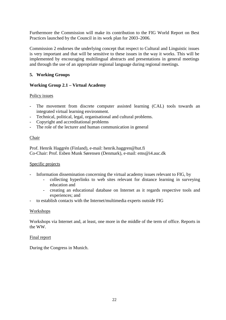Furthermore the Commission will make its contribution to the FIG World Report on Best Practices launched by the Council in its work plan for 2003–2006.

Commission 2 endorses the underlying concept that respect to Cultural and Linguistic issues is very important and that will be sensitive to these issues in the way it works. This will be implemented by encouraging multilingual abstracts and presentations in general meetings and through the use of an appropriate regional language during regional meetings.

### **5. Working Groups**

### **Working Group 2.1 – Virtual Academy**

#### Policy issues

- The movement from discrete computer assisted learning (CAL) tools towards an integrated virtual learning environment.
- Technical, political, legal, organisational and cultural problems.
- Copyright and accreditational problems
- The role of the lecturer and human communication in general

#### Chair

Prof. Henrik Haggrén (Finland), e-mail: henrik.haggren@hut.fi Co-Chair: Prof. Esben Munk Sørensen (Denmark), e-mail: ems@i4.auc.dk

#### Specific projects

- Information dissemination concerning the virtual academy issues relevant to FIG, by
	- collecting hyperlinks to web sites relevant for distance learning in surveying education and
	- creating an educational database on Internet as it regards respective tools and experiences; and
- to establish contacts with the Internet/multimedia experts outside FIG

#### Workshops

Workshops via Internet and, at least, one more in the middle of the term of office. Reports in the WW.

#### Final report

During the Congress in Munich.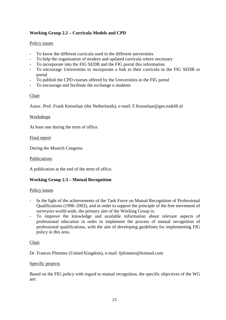# **Working Group 2.2 – Curricula Models and CPD**

# Policy issues

- To know the different curricula used in the different universities
- To help the organisation of modern and updated curricula where necessary
- To incorporate into the FIG SEDB and the FIG portal this information
- To encourage Universities to incorporate a link to their curricula in the FIG SEDB or portal
- To publish the CPD courses offered by the Universities in the FIG portal
- To encourage and facilitate the exchange o students

# Chair

Assoc. Prof. Frank Kenselaar (the Netherlands), e-mail: F.Kenselaar@geo.tudelft.nl

# **Workshops**

At least one during the term of office.

# Final report

During the Munich Congress

## Publications

A publication at the end of the term of office.

# **Working Group 2.3 – Mutual Recognition**

# Policy issues

- In the light of the achievements of the Task Force on Mutual Recognition of Professional Qualifications (1998–2002), and in order to support the principle of the free movement of surveyors world-wide, the primary aim of the Working Group is:
- To improve the knowledge and available information about relevant aspects of professional education in order to implement the process of mutual recognition of professional qualifications, with the aim of developing guidelines for implementing FIG policy in this area.

# Chair

Dr. Frances Plimmer (United Kingdom), e-mail: fplimmer@hotmail.com

# Specific projects

Based on the FIG policy with regard to mutual recognition, the specific objectives of the WG are: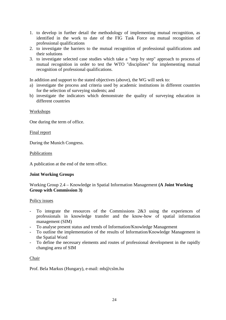- 1. to develop in further detail the methodology of implementing mutual recognition, as identified in the work to date of the FIG Task Force on mutual recognition of professional qualifications
- 2. to investigate the barriers to the mutual recognition of professional qualifications and their solutions
- 3. to investigate selected case studies which take a "step by step" approach to process of mutual recognition in order to test the WTO "disciplines" for implementing mutual recognition of professional qualifications.

In addition and support to the stated objectives (above), the WG will seek to:

- a) investigate the process and criteria used by academic institutions in different countries for the selection of surveying students; and
- b) investigate the indicators which demonstrate the quality of surveying education in different countries

### Workshops

One during the term of office.

#### Final report

During the Munich Congress.

Publications

A publication at the end of the term office.

#### **Joint Working Groups**

# Working Group 2.4 – Knowledge in Spatial Information Management **(A Joint Working Group with Commission 3)**

#### Policy issues

- To integrate the resources of the Commissions 2&3 using the experiences of professionals in knowledge transfer and the know-how of spatial information management (SIM)
- To analyse present status and trends of Information/Knowledge Management
- To outline the implementation of the results of Information/Knowledge Management in the Spatial Word
- To define the necessary elements and routes of professional development in the rapidly changing area of SIM

#### Chair

Prof. Bela Markus (Hungary), e-mail: mb@cslm.hu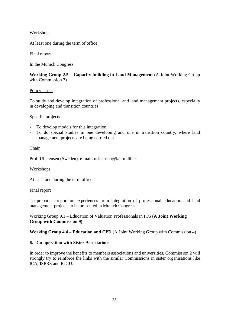# Workshops

At least one during the term of office

#### Final report

In the Munich Congress.

# **Working Group 2.5 – Capacity building in Land Management** (A Joint Working Group with Commission 7)

### Policy issues

To study and develop integration of professional and land management projects, especially in developing and transition countries.

#### Specific projects

- To develop models for this integration
- To do special studies in one developing and one in transition country, where land management projects are being carried out.

#### Chair

Prof. Ulf Jensen (Sweden), e-mail: ulf.jensen@lantm.lth.se

#### Workshops

At least one during the term office.

#### Final report

To prepare a report on experiences from integration of professional education and land management projects to be presented in Munich Congress.

Working Group 9.1 – Education of Valuation Professionals in FIG **(A Joint Working Group with Commission 9)** 

**Working Group 4.4 – Education and CPD** (A Joint Working Group with Commission 4)

#### **6. Co-operation with Sister Associations**

In order to improve the benefits to members associations and universities, Commission 2 will strongly try to reinforce the links with the similar Commissions in sister organisations like ICA, ISPRS and IGGU.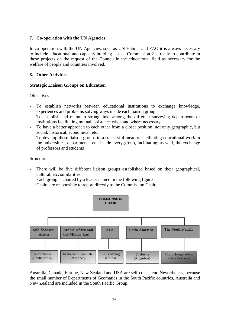## **7. Co-operation with the UN Agencies**

In co-operation with the UN Agencies, such as UN-Habitat and FAO it is always necessary to include educational and capacity building issues. Commission 2 is ready to contribute in these projects on the request of the Council in the educational field as necessary for the welfare of people and countries involved.

## **8. Other Activities**

### **Strategic Liaison Groups on Education**

### **Objectives**

- To establish networks between educational institutions to exchange knowledge, experiences and problems solving ways inside each liaison group
- To establish and maintain strong links among the different surveying departments or institutions facilitating mutual assistance when and where necessary
- To have a better approach to each other from a closer position, not only geographic, but social, historical, economical, etc.
- To develop these liaison groups to a successful mean of facilitating educational work in the universities, departments, etc. inside every group, facilitating, as well, the exchange of professors and students

#### Structure

- There will be five different liaison groups established based on their geographical, cultural, etc. similarities
- Each group is chaired by a leader named in the following figure
- Chairs are responsible to report directly to the Commission Chair



Australia, Canada, Europe, New Zealand and USA are self-consistent. Nevertheless, because the small number of Departments of Geomatics in the South Pacific countries, Australia and New Zealand are included in the South Pacific Group.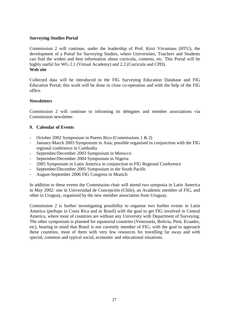#### **Surveying Studies Portal**

Commission 2 will continue, under the leadership of Prof. Kirsi Virrantaus (HTU), the development of a Portal for Surveying Studies, where Universities, Teachers and Students can find the widest and best information about curricula, contents, etc. This Portal will be highly useful for WG 2.1 (Virtual Academy) and 2.2 (Curricula and CPD). **Web site**

Collected data will be introduced in the FIG Surveying Education Database and FIG Education Portal; this work will be done in close co-operation and with the help of the FIG office.

### **Newsletters**

Commission 2 will continue to informing its delegates and member associations via Commission newsletter.

### **9. Calendar of Events**

- October 2002 Symposium in Puerto Rico (Commissions 1 & 2)
- January-March 2003 Symposium in Asia; possible organised in conjunction with the FIG regional conference in Cambodia
- September/December 2003 Symposium in Morocco
- September/December 2004 Symposium in Nigeria
- 2005 Symposium in Latin America in conjunction to FIG Regional Conference
- September/December 2005 Symposium in the South Pacific
- August-September 2006 FIG Congress in Munich

In addition to these events the Commission chair will attend two symposia in Latin America in May 2002: one in Universidad de Concepción (Chile), an Academic member of FIG, and other in Uruguay, organised by the new member association from Uruguay.

Commission 2 is further investigating possibility to organise two further events in Latin America (perhaps in Costa Rica and in Brasil) with the goal to get FIG involved in Central America, where most of countries are without any University with Department of Surveying. The other symposium is planned for equatorial countries (Venezuela, Bolivia, Perú, Ecuador, etc), bearing in mind that Brasil is not currently member of FIG, with the goal to approach these countries, most of them with very few resources for travelling far away and with special, common and typical social, economic and educational situations.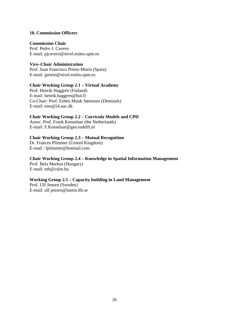#### **10. Commission Officers**

#### **Commission Chair**

Prof. Pedro J. Cavero E-mail: pjcavero@nivel.euitto.upm.es

### **Vice–Chair Administration**

Prof. Juan Francisco Prieto-Morin (Spain) E-mail: jprieto@nivel.euitto.upm.es

# **Chair Working Group 2.1 – Virtual Academy**

Prof. Henrik Haggrén (Finland) E-mail: henrik.haggren@hut.fi Co-Chair: Prof. Esben Munk Sørensen (Denmark) E-mail: ems@i4.auc.dk

### **Chair Working Group 2.2 – Curricula Models and CPD**

Assoc. Prof. Frank Kenselaar (the Netherlands) E-mail: F.Kenselaar@geo.tudelft.nl

# **Chair Working Group 2.3 – Mutual Recognition**

Dr. Frances Plimmer (United Kingdom) E-mail : fplimmer@hotmail.com

#### **Chair Working Group 2.4 – Knowledge in Spatial Information Management**

Prof. Bela Markus (Hungary) E-mail: mb@cslm.hu

#### **Working Group 2.5 – Capacity building in Land Management**

Prof. Ulf Jensen (Sweden) E-mail: ulf.jensen@lantm.lth.se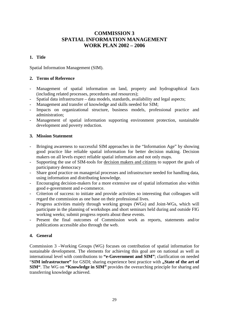# **COMMISSION 3 SPATIAL INFORMATION MANAGEMENT WORK PLAN 2002 – 2006**

# **1. Title**

Spatial Information Management (SIM).

### **2. Terms of Reference**

- Management of spatial information on land, property and hydrographical facts (including related processes, procedures and resources);
- Spatial data infrastructure data models, standards, availability and legal aspects;
- Management and transfer of knowledge and skills needed for SIM;
- Impacts on organizational structure, business models, professional practice and administration;
- Management of spatial information supporting environment protection, sustainable development and poverty reduction.

# **3. Mission Statement**

- Bringing awareness to successful SIM approaches in the "Information Age" by showing good practice like reliable spatial information for better decision making. Decision makers on all levels expect reliable spatial information and not only maps.
- Supporting the use of SIM-tools for decision makers and citizens to support the goals of participatory democracy
- Share good practice on managerial processes and infrastructure needed for handling data, using information and distributing knowledge.
- Encouraging decision-makers for a more extensive use of spatial information also within good e-government and e-commerce.
- Criterion of success: to initiate and provide activities so interesting that colleagues will regard the commission as one base on their professional lives.
- Progress activities mainly through working groups (WGs) and Joint-WGs, which will participate in the planning of workshops and short seminars held during and outside FIG working weeks; submit progress reports about these events.
- Present the final outcomes of Commission work as reports, statements and/or publications accessible also through the web.

# **4. General**

Commission 3 –Working Groups (WG) focuses on contribution of spatial information for sustainable development. The elements for achieving this goal are on national as well as international level with contributions to **"e-Government and SIM"**; clarification on needed "SIM infrastructure" for GSDI; sharing experience best practice with "State of the art of **SIM"**. The WG on **"Knowledge in SIM"** provides the overarching principle for sharing and transferring knowledge achieved.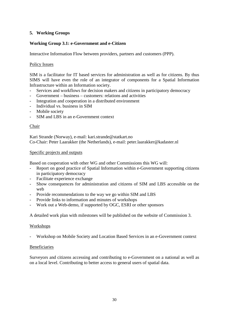# **5. Working Groups**

# **Working Group 3.1: e-Government and e-Citizen**

Interactive Information Flow between providers, partners and customers (PPP).

## Policy Issues

SIM is a facilitator for IT based services for administration as well as for citizens. By thus SIMS will have even the role of an integrator of components for a Spatial Information Infrastructure within an Information society.

- Services and workflows for decision makers and citizens in participatory democracy
- Government business customers: relations and activities
- Integration and cooperation in a distributed environment
- Individual vs. business in SIM
- Mobile society
- SIM and LBS in an e-Government context

### Chair

Kari Strande (Norway), e-mail: kari.strande@statkart.no Co-Chair: Peter Laarakker (the Netherlands), e-mail: peter.laarakker@kadaster.nl

### Specific projects and outputs

Based on cooperation with other WG and other Commissions this WG will:

- Report on good practice of Spatial Information within e-Government supporting citizens in participatory democracy
- Facilitate experience exchange
- Show consequences for administration and citizens of SIM and LBS accessible on the web
- Provide recommendations to the way we go within SIM and LBS
- Provide links to information and minutes of workshops
- Work out a Web-demo, if supported by OGC, ESRI or other sponsors

A detailed work plan with milestones will be published on the website of Commission 3.

#### Workshops

- Workshop on Mobile Society and Location Based Services in an e-Government context

#### Beneficiaries

Surveyors and citizens accessing and contributing to e-Government on a national as well as on a local level. Contributing to better access to general users of spatial data.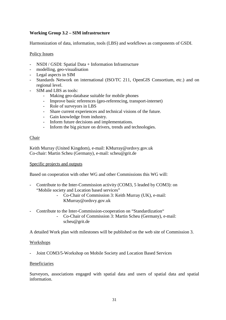# **Working Group 3.2 – SIM infrastructure**

Harmonization of data, information, tools (LBS) and workflows as components of GSDI.

### Policy Issues

- NSDI / GSDI: Spatial Data + Information Infrastructure
- modelling, geo-visualisation
- Legal aspects in SIM
- Standards Network on international (ISO/TC 211, OpenGIS Consortium, etc.) and on regional level.
- SIM and LBS as tools:
	- Making geo-database suitable for mobile phones
	- Improve basic references (geo-referencing, transport-internet)
	- Role of surveyors in LBS
	- Share current experiences and technical visions of the future.
	- Gain knowledge from industry.
	- Inform future decisions and implementations.
	- Inform the big picture on drivers, trends and technologies.

#### Chair

Keith Murray (United Kingdom), e-mail: KMurray@ordsvy.gov.uk Co-chair: Martin Scheu (Germany), e-mail: scheu@grit.de

#### Specific projects and outputs

Based on cooperation with other WG and other Commissions this WG will:

- Contribute to the Inter-Commission activity (COM3, 5 leaded by COM3): on "Mobile society and Location based services"
	- Co-Chair of Commission 3: Keith Murray (UK), e-mail: KMurray@ordsvy.gov.uk
- Contribute to the Inter-Commission-cooperation on "Standardization"
	- Co-Chair of Commission 3: Martin Scheu (Germany), e-mail: scheu@grit.de

A detailed Work plan with milestones will be published on the web site of Commission 3.

#### Workshops

Joint COM3/5-Workshop on Mobile Society and Location Based Services

#### Beneficiaries

Surveyors, associations engaged with spatial data and users of spatial data and spatial information.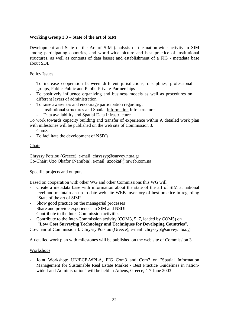# **Working Group 3.3 – State of the art of SIM**

Development and State of the Art of SIM (analysis of the nation-wide activity in SIM among participating countries, and world-wide picture and best practice of institutional structures, as well as contents of data bases) and establishment of a FIG - metadata base about SDI.

#### Policy Issues

- To increase cooperation between different jurisdictions, disciplines, professional groups, Public-Public and Public-Private-Partnerships
- To positively influence organizing and business models as well as procedures on different layers of administration
- To raise awareness and encourage participation regarding:
	- Institutional structures and Spatial Information Infrastructure
	- Data availability and Spatial Data Infrastructure

To work towards capacity building and transfer of experience within A detailed work plan with milestones will be published on the web site of Commission 3.

- Com3
- To facilitate the development of NSDIs

### **Chair**

Chryssy Potsiou (Greece), e-mail: chryssyp@survey.ntua.gr Co-Chair: Uzo Okafor (Namibia), e-mail: uzookaf@mweb.com.na

#### Specific projects and outputs

Based on cooperation with other WG and other Commissions this WG will:

- Create a metadata base with information about the state of the art of SIM at national level and maintain an up to date web site WEB-Inventory of best practice in regarding "State of the art of SIM"
- Show good practice on the managerial processes
- Share and provide experiences in SIM and NSDI
- Contribute to the Inter-Commission activities
- Contribute to the Inter-Commission activity (COM3, 5, 7, leaded by COM5) on

"**Low Cost Surveying Technology and Techniques for Developing Countries**".

Co-Chair of Commission 3: Chryssy Potsiou (Greece), e-mail: chryssyp@survey.ntua.gr

A detailed work plan with milestones will be published on the web site of Commission 3.

#### Workshops

Joint Workshop: UN/ECE-WPLA, FIG Com3 and Com7 on "Spatial Information Management for Sustainable Real Estate Market - Best Practice Guidelines in nationwide Land Administration" will be held in Athens, Greece, 4-7 June 2003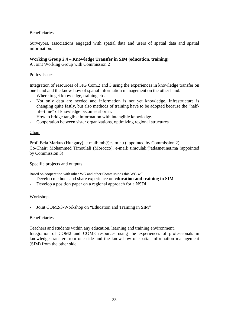## Beneficiaries

Surveyors, associations engaged with spatial data and users of spatial data and spatial information.

# **Working Group 2.4 – Knowledge Transfer in SIM (education, training)**

A Joint Working Group with Commission 2

#### Policy Issues

Integration of resources of FIG Com.2 and 3 using the experiences in knowledge transfer on one hand and the know-how of spatial information management on the other hand.

- Where to get knowledge, training etc.
- Not only data are needed and information is not yet knowledge. Infrastructure is changing quite fastly, but also methods of training have to be adopted because the "halflife-time" of knowledge becomes shorter.
- How to bridge tangible information with intangible knowledge.
- Cooperation between sister organizations, optimizing regional structures

#### Chair

Prof. Bela Markus (Hungary), e-mail: mb@cslm.hu (appointed by Commission 2) Co-Chair: Mohammed Timoulali (Morocco), e-mail: timoulali@atlasnet.net.ma (appointed by Commission 3)

#### Specific projects and outputs

Based on cooperation with other WG and other Commissions this WG will:

- Develop methods and share experience on **education and training in SIM**
- Develop a position paper on a regional approach for a NSDI.

#### Workshops

Joint COM2/3-Workshop on "Education and Training in SIM"

#### Beneficiaries

Teachers and students within any education, learning and training environment.

Integration of COM2 and COM3 resources using the experiences of professionals in knowledge transfer from one side and the know-how of spatial information management (SIM) from the other side.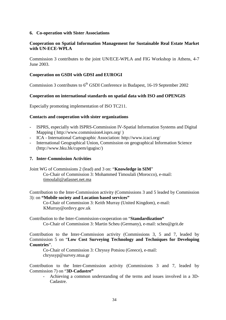#### **6. Co-operation with Sister Associations**

## **Cooperation on Spatial Information Management for Sustainable Real Estate Market with UN-ECE-WPLA**

Commission 3 contributes to the joint UN/ECE-WPLA and FIG Workshop in Athens, 4-7 June 2003.

#### **Cooperation on GSDI with GDSI and EUROGI**

Commission 3 contributes to  $6<sup>th</sup>$  GSDI Conference in Budapest, 16-19 September 2002

### **Cooperation on international standards on spatial data with ISO and OPENGIS**

Especially promoting implementation of ISO TC211.

### **Contacts and cooperation with sister organizations**

- ISPRS, especially with ISPRS-Commission IV-Spatial Information Systems and Digital Mapping ( http://www.commission4.isprs.org/ )
- ICA International Cartographic Association: http://www.icaci.org/
- International Geographical Union, Commission on geographical Information Science (http://www.hku.hk/cupem/igugisc/)

#### **7. Inter-Commission Activities**

Joint WG of Commissions 2 (lead) and 3 on: "**Knowledge in SIM**" Co-Chair of Commission 3: Mohammed Timoulali (Morocco), e-mail: timoulali@atlasnet.net.ma

Contribution to the Inter-Commission activity (Commissions 3 and 5 leaded by Commission 3): on **"Mobile society and Location based services"** 

Co-Chair of Commission 3: Keith Murray (United Kingdom), e-mail: KMurray@ordsvy.gov.uk

Contribution to the Inter-Commission-cooperation on "**Standardization"**  Co-Chair of Commission 3: Martin Scheu (Germany), e-mail: scheu@grit.de

Contribution to the Inter-Commission activity (Commissions 3, 5 and 7, leaded by Commission 5 on "**Low Cost Surveying Technology and Techniques for Developing Countries**".

Co-Chair of Commission 3: Chryssy Potsiou (Greece), e-mail: chryssyp@survey.ntua.gr

Contribution to the Inter-Commission activity (Commissions 3 and 7, leaded by Commission 7) on "**3D-Cadastre"** 

- Achieving a common understanding of the terms and issues involved in a 3D-Cadastre.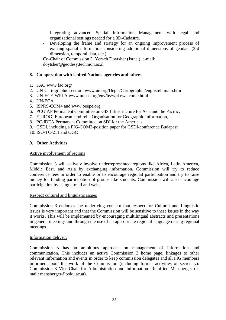- Integrating advanced Spatial Information Management with legal and organizational settings needed for a 3D-Cadastre.
- Developing the frame and strategy for an ongoing improvement process of existing spatial information considering additional dimensions of geodata (3rd dimension, temporal data, etc.).

Co-Chair of Commission 3: Yerach Doytsher (Israel), e-mail: doytsher@geodesy.technion.ac.il

#### **8. Co-operation with United Nations agencies and others**

- 1. FAO www.fao.org/
- 2. UN-Cartographic section: www.un.org/Depts/Cartographic/english/htmain.htm
- 3. UN-ECE-WPLA www.unece.org/env/hs/wpla/welcome.html
- 4. UN-ECA
- 5. ISPRS-COM4 and www.oeepe.org
- 6. PCGIAP Permanent Committee on GIS Infrastructure for Asia and the Pacific,
- 7. EUROGI European Umbrella Organisation for Geographic Information,
- 8. PC-IDEA Permanent Committee on SDI for the Americas,
- 9. GSDI, including a FIG-COM3-position paper for GSDI-conference Budapest
- 10. ISO-TC-211 and OGC

#### **9. Other Activities**

#### Active involvement of regions

Commission 3 will actively involve underrepresented regions like Africa, Latin America, Middle East, and Asia by exchanging information. Commission will try to reduce conference fees in order to enable or to encourage regional participation and try to raise money for funding participation of groups like students. Commission will also encourage participation by using e-mail and web.

#### Respect cultural and linguistic issues

Commission 3 endorses the underlying concept that respect for Cultural and Linguistic issues is very important and that the Commission will be sensitive to these issues in the way it works. This will be implemented by encouraging multilingual abstracts and presentations in general meetings and through the use of an appropriate regional language during regional meetings.

#### Information delivery

Commission 3 has an ambitious approach on management of information and communication. This includes an active Commission 3 home page, linkages to other relevant information and events in order to keep commission delegates and all FIG members informed about the work of the Commission (including former activities of secretary): Commission 3 Vice-Chair for Administration and Information: Reinfried Mansberger (email: mansberger@boku.ac.at).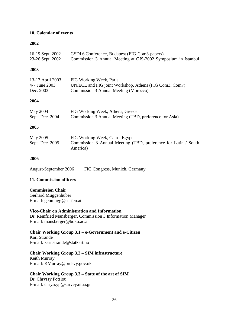## **10. Calendar of events**

#### **2002**

| 16-19 Sept. 2002<br>23-26 Sept. 2002           | GSDI 6 Conference, Budapest (FIG-Com3-papers)<br>Commission 3 Annual Meeting at GIS-2002 Symposium in Istanbul             |
|------------------------------------------------|----------------------------------------------------------------------------------------------------------------------------|
| 2003                                           |                                                                                                                            |
| 13-17 April 2003<br>4-7 June 2003<br>Dec. 2003 | FIG Working Week, Paris<br>UN/ECE and FIG joint Workshop, Athens (FIG Com3, Com7)<br>Commission 3 Annual Meeting (Morocco) |
| 2004                                           |                                                                                                                            |
| May 2004<br>Sept.-Dec. 2004                    | FIG Working Week, Athens, Greece<br>Commission 3 Annual Meeting (TBD, preference for Asia)                                 |
| 2005                                           |                                                                                                                            |
| May 2005<br>Sept.-Dec. 2005                    | FIG Working Week, Cairo, Egypt<br>Commission 3 Annual Meeting (TBD, preference for Latin / South<br>America)               |
| 2006                                           |                                                                                                                            |
| August-September 2006                          | FIG Congress, Munich, Germany                                                                                              |
| 11. Commission officers                        |                                                                                                                            |
| <b>Commission Chair</b>                        |                                                                                                                            |

Gerhard Muggenhuber E-mail: geomugg@surfeu.at

#### **Vice-Chair on Administration and Information**

Dr. Reinfried Mansberger, Commission 3 Information Manager E-mail: mansberger@boku.ac.at

#### **Chair Working Group 3.1 – e-Government and e-Citizen**  Kari Strande

E-mail: kari.strande@statkart.no

## **Chair Working Group 3.2 – SIM infrastructure**

Keith Murray E-mail: KMurray@ordsvy.gov.uk

# **Chair Working Group 3.3 – State of the art of SIM**

Dr. Chryssy Potsiou E-mail: chryssyp@survey.ntua.gr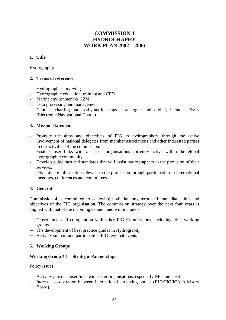# **COMMISSION 4 HYDROGRAPHY WORK PLAN 2002 – 2006**

## **1. Title**

Hydrography.

## **2. Terms of reference**

- Hydrographic surveying
- Hydrographic education, training and CPD
- Marine environment & CZM
- Data processing and management
- Nautical charting and bathymetric maps analogue and digital, includes ENCs (Electronic Navigational Charts).

#### **3. Mission statement**

- Promote the aims and objectives of FIG to hydrographers through the active involvement of national delegates from member associations and other interested parties in the activities of the commission.
- Foster closer links with all sister organisations currently active within the global hydrographic community.
- Develop guidelines and standards that will assist hydrographers in the provision of their services.
- Disseminate information relevant to the profession through participation in international meetings, conferences and committees.

## **4. General**

Commission 4 is committed to achieving both the long term and immediate aims and objectives of the FIG organisation. The commission strategy over the next four years is aligned with that of the incoming Council and will include –

- − Closer links and co-operation with other FIG Commissions, including joint working groups
- − The development of best practice guides in Hydrography
- − Actively support and participate in FIG regional events

## **5. Working Groups**

## **Working Group 4.1 – Strategic Partnerships**

#### Policy issues

- Actively pursue closer links with sister organisations, especially IHO and THS
- Increase co-operation between international surveying bodies (IHO/FIG/ICA Advisory Board)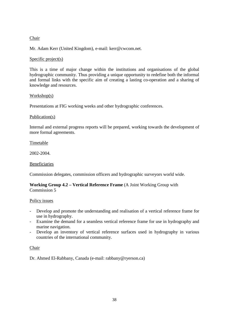## Chair

Mr. Adam Kerr (United Kingdom), e-mail: kerr@cwcom.net.

## Specific project(s)

This is a time of major change within the institutions and organisations of the global hydrographic community. Thus providing a unique opportunity to redefine both the informal and formal links with the specific aim of creating a lasting co-operation and a sharing of knowledge and resources.

## Workshop(s)

Presentations at FIG working weeks and other hydrographic conferences.

#### Publication(s)

Internal and external progress reports will be prepared, working towards the development of more formal agreements.

#### Timetable

2002-2004.

## Beneficiaries

Commission delegates, commission officers and hydrographic surveyors world wide.

#### **Working Group 4.2 – Vertical Reference Frame** (A Joint Working Group with Commission 5

#### Policy issues

- Develop and promote the understanding and realisation of a vertical reference frame for use in hydrography.
- Examine the demand for a seamless vertical reference frame for use in hydrography and marine navigation.
- Develop an inventory of vertical reference surfaces used in hydrography in various countries of the international community.

#### Chair

Dr. Ahmed El-Rabbany, Canada (e-mail: rabbany@ryerson.ca)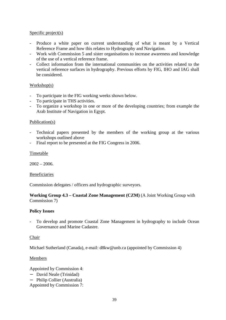## Specific project(s)

- Produce a white paper on current understanding of what is meant by a Vertical Reference Frame and how this relates to Hydrography and Navigation.
- Work with Commission 5 and sister organisations to increase awareness and knowledge of the use of a vertical reference frame.
- Collect information from the international communities on the activities related to the vertical reference surfaces in hydrography. Previous efforts by FIG, IHO and IAG shall be considered.

#### Workshop(s)

- To participate in the FIG working weeks shown below.
- To participate in THS activities.
- To organize a workshop in one or more of the developing countries; from example the Arab Institute of Navigation in Egypt.

#### Publication(s)

- Technical papers presented by the members of the working group at the various workshops outlined above
- Final report to be presented at the FIG Congress in 2006.

#### Timetable

 $2002 - 2006.$ 

#### Beneficiaries

Commission delegates / officers and hydrographic surveyors.

#### **Working Group 4.3 – Coastal Zone Management (CZM)** (A Joint Working Group with Commission 7)

#### **Policy Issues**

To develop and promote Coastal Zone Management in hydrography to include Ocean Governance and Marine Cadastre.

#### Chair

Michael Sutherland (Canada), e-mail: d8kw@unb.ca (appointed by Commission 4)

#### Members

Appointed by Commission 4:

- − David Neale (Trinidad)
- − Philip Collier (Australia)
- Appointed by Commission 7: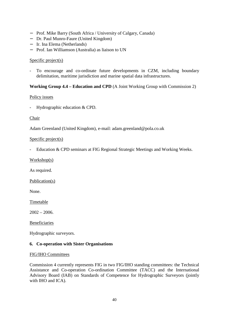- − Prof. Mike Barry (South Africa / University of Calgary, Canada)
- − Dr. Paul Munro-Faure (United Kingdom)
- − Ir. Ina Elema (Netherlands)
- − Prof. Ian Williamson (Australia) as liaison to UN

#### Specific project(s)

- To encourage and co-ordinate future developments in CZM, including boundary delimitation, maritime jurisdiction and marine spatial data infrastructures.

#### **Working Group 4.4 – Education and CPD** (A Joint Working Group with Commission 2)

#### Policy issues

- Hydrographic education & CPD.

#### Chair

Adam Greenland (United Kingdom), e-mail: adam.greenland@pola.co.uk

#### Specific project(s)

- Education & CPD seminars at FIG Regional Strategic Meetings and Working Weeks.

Workshop(s)

As required.

Publication(s)

None.

Timetable

 $2002 - 2006$ .

Beneficiaries

Hydrographic surveyors.

#### **6. Co-operation with Sister Organisations**

#### FIG/IHO Committees

Commission 4 currently represents FIG in two FIG/IHO standing committees: the Technical Assistance and Co-operation Co-ordination Committee (TACC) and the International Advisory Board (IAB) on Standards of Competence for Hydrographic Surveyors (jointly with IHO and ICA).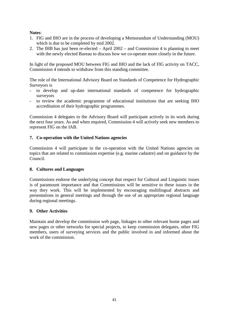## **Notes**:

- 1. FIG and IHO are in the process of developing a Memorandum of Understanding (MOU) which is due to be completed by mid 2002.
- 2. The IHB has just been re-elected April 2002 and Commission 4 is planning to meet with the newly elected Bureau to discuss how we co-operate more closely in the future.

In light of the proposed MOU between FIG and IHO and the lack of FIG activity on TACC, Commission 4 intends to withdraw from this standing committee.

The role of the International Advisory Board on Standards of Competence for Hydrographic Surveyors is

- to develop and up-date international standards of competence for hydrographic surveyors
- to review the academic programme of educational institutions that are seeking IHO accreditation of their hydrographic programmes.

Commission 4 delegates to the Advisory Board will participate actively in its work during the next four years. As and when required, Commission 4 will actively seek new members to represent FIG on the IAB.

## **7. Co-operation with the United Nations agencies**

Commission 4 will participate in the co-operation with the United Nations agencies on topics that are related to commission expertise (e.g. marine cadastre) and on guidance by the Council.

## **8. Cultures and Languages**

Commissions endorse the underlying concept that respect for Cultural and Linguistic issues is of paramount importance and that Commissions will be sensitive to these issues in the way they work. This will be implemented by encouraging multilingual abstracts and presentations in general meetings and through the use of an appropriate regional language during regional meetings.

## **9. Other Activities**

Maintain and develop the commission web page, linkages to other relevant home pages and new pages or other networks for special projects, to keep commission delegates, other FIG members, users of surveying services and the public involved in and informed about the work of the commission.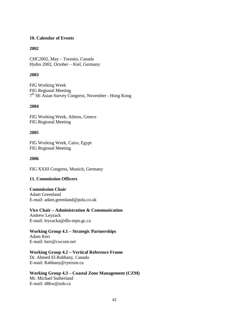#### **10. Calendar of Events**

#### **2002**

CHC2002, May – Toronto, Canada Hydro 2002, October – Kiel, Germany

#### **2003**

FIG Working Week FIG Regional Meeting 7th SE Asian Survey Congress, November - Hong Kong

## **2004**

FIG Working Week, Athens, Greece FIG Regional Meeting

#### **2005**

FIG Working Week, Cairo, Egypt FIG Regional Meeting

#### **2006**

FIG XXIII Congress, Munich, Germany

#### **11. Commission Officers**

**Commission Chair**  Adam Greenland E-mail: adam.greenland@pola.co.uk

**Vice Chair – Administration & Communication**  Andrew Leyzack E-mail: leyzacka@dfo-mpo.gc.ca

## **Working Group 4.1 – Strategic Partnerships**

Adam Kerr E-mail: kerr@cwcom.net

**Working Group 4.2 – Vertical Reference Frame**  Dr. Ahmed El-Rabbany, Canada E-mail: Rabbany@ryerson.ca

**Working Group 4.3 – Coastal Zone Management (CZM)**  Mr. Michael Sutherland E-mail: d8kw@unb.ca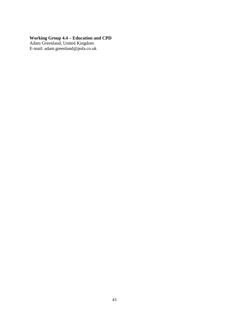#### **Working Group 4.4 – Education and CPD**

Adam Greenland, United Kingdom E-mail: adam.greenland@pola.co.uk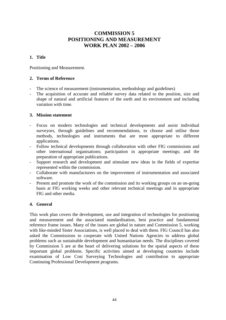# **COMMISSION 5 POSITIONING AND MEASUREMENT WORK PLAN 2002 – 2006**

## **1. Title**

Positioning and Measurement.

## **2. Terms of Reference**

- The science of measurement (instrumentation, methodology and guidelines)
- The acquisition of accurate and reliable survey data related to the position, size and shape of natural and artificial features of the earth and its environment and including variation with time.

#### **3. Mission statement**

- Focus on modern technologies and technical developments and assist individual surveyors, through guidelines and recommendations, to choose and utilise those methods, technologies and instruments that are most appropriate to different applications.
- Follow technical developments through collaboration with other FIG commissions and other international organisations; participation in appropriate meetings; and the preparation of appropriate publications.
- Support research and development and stimulate new ideas in the fields of expertise represented within the commission.
- Collaborate with manufacturers on the improvement of instrumentation and associated software.
- Present and promote the work of the commission and its working groups on an on-going basis at FIG working weeks and other relevant technical meetings and in appropriate FIG and other media.

## **4. General**

This work plan covers the development, use and integration of technologies for positioning and measurement and the associated standardisation, best practice and fundamental reference frame issues. Many of the issues are global in nature and Commission 5, working with like-minded Sister Associations, is well placed to deal with them. FIG Council has also asked the Commissions to cooperate with United Nations Agencies to address global problems such as sustainable development and humanitarian needs. The disciplines covered by Commission 5 are at the heart of delivering solutions for the spatial aspects of these important global problems. Specific activities aimed at developing countries include examination of Low Cost Surveying Technologies and contribution to appropriate Continuing Professional Development programs.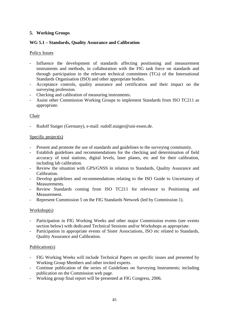## **5. Working Groups**

## **WG 5.1 – Standards, Quality Assurance and Calibration**

## Policy Issues

- Influence the development of standards affecting positioning and measurement instruments and methods, in collaboration with the FIG task force on standards and through participation in the relevant technical committees (TCs) of the International Standards Organisation (ISO) and other appropriate bodies.
- Acceptance controls, quality assurance and certification and their impact on the surveying profession.
- Checking and calibration of measuring instruments.
- Assist other Commission Working Groups to implement Standards from ISO TC211 as appropriate.

## Chair

- Rudolf Staiger (Germany), e-mail: rudolf.staiger@uni-essen.de.

#### Specific project(s)

- Present and promote the use of standards and guidelines to the surveying community.
- Establish guidelines and recommendations for the checking and determination of field accuracy of total stations, digital levels, laser planes, etc and for their calibration, including lab calibration.
- Review the situation with GPS/GNSS in relation to Standards, Quality Assurance and Calibration.
- Develop guidelines and recommendations relating to the ISO Guide to Uncertainty of Measurements.
- Review Standards coming from ISO TC211 for relevance to Positioning and Measurement.
- Represent Commission 5 on the FIG Standards Network (led by Commission 1).

## Workshop(s)

- Participation in FIG Working Weeks and other major Commission events (see events section below) with dedicated Technical Sessions and/or Workshops as appropriate.
- Participation in appropriate events of Sister Associations, ISO etc related to Standards, Quality Assurance and Calibration.

#### Publication(s)

- FIG Working Weeks will include Technical Papers on specific issues and presented by Working Group Members and other invited experts.
- Continue publication of the series of Guidelines on Surveying Instruments; including publication on the Commission web page.
- Working group final report will be presented at FIG Congress, 2006.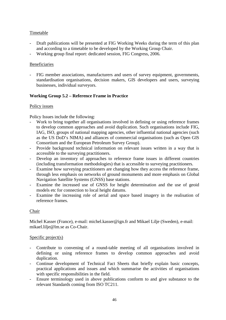## Timetable

- Draft publications will be presented at FIG Working Weeks during the term of this plan and according to a timetable to be developed by the Working Group Chair.
- Working group final report: dedicated session, FIG Congress, 2006.

## Beneficiaries

- FIG member associations, manufacturers and users of survey equipment, governments, standardisation organisations, decision makers, GIS developers and users, surveying businesses, individual surveyors.

## **Working Group 5.2 – Reference Frame in Practice**

## Policy issues

Policy Issues include the following:

- Work to bring together all organisations involved in defining or using reference frames to develop common approaches and avoid duplication. Such organisations include FIG, IAG, ISO, groups of national mapping agencies, other influential national agencies (such as the US DoD's NIMA) and alliances of commercial organisations (such as Open GIS Consortium and the European Petroleum Survey Group).
- Provide background technical information on relevant issues written in a way that is accessible to the surveying practitioners.
- Develop an inventory of approaches to reference frame issues in different countries (including transformation methodologies) that is accessible to surveying practitioners.
- Examine how surveying practitioners are changing how they access the reference frame, through less emphasis on networks of ground monuments and more emphasis on Global Navigation Satellite Systems (GNSS) base stations.
- Examine the increased use of GNSS for height determination and the use of geoid models etc for connection to local height datums.
- Examine the increasing role of aerial and space based imagery in the realisation of reference frames.

## Chair

Michel Kasser (France), e-mail: michel.kasser@ign.fr and Mikael Lilje (Sweden), e-mail: mikael.lilje@lm.se as Co-Chair.

## Specific project(s)

- Contribute to convening of a round-table meeting of all organisations involved in defining or using reference frames to develop common approaches and avoid duplication.
- Continue development of Technical Fact Sheets that briefly explain basic concepts, practical applications and issues and which summarise the activities of organisations with specific responsibilities in the field.
- Ensure terminology used in above publications conform to and give substance to the relevant Standards coming from ISO TC211.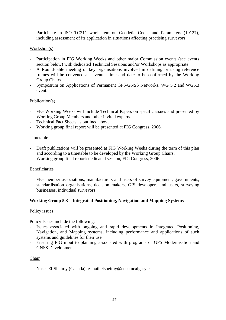- Participate in ISO TC211 work item on Geodetic Codes and Parameters (19127), including assessment of its application in situations affecting practising surveyors.

## Workshop(s)

- Participation in FIG Working Weeks and other major Commission events (see events section below) with dedicated Technical Sessions and/or Workshops as appropriate.
- A Round-table meeting of key organisations involved in defining or using reference frames will be convened at a venue, time and date to be confirmed by the Working Group Chairs.
- Symposium on Applications of Permanent GPS/GNSS Networks. WG 5.2 and WG5.3 event.

#### Publication(s)

- FIG Working Weeks will include Technical Papers on specific issues and presented by Working Group Members and other invited experts.
- Technical Fact Sheets as outlined above.
- Working group final report will be presented at FIG Congress, 2006.

#### Timetable

- Draft publications will be presented at FIG Working Weeks during the term of this plan and according to a timetable to be developed by the Working Group Chairs.
- Working group final report: dedicated session, FIG Congress, 2006.

#### Beneficiaries

- FIG member associations, manufacturers and users of survey equipment, governments, standardisation organisations, decision makers, GIS developers and users, surveying businesses, individual surveyors

## **Working Group 5.3 – Integrated Positioning, Navigation and Mapping Systems**

#### Policy issues

Policy Issues include the following:

- Issues associated with ongoing and rapid developments in Integrated Positioning, Navigation, and Mapping systems, including performance and applications of such systems and guidelines for their use.
- Ensuring FIG input to planning associated with programs of GPS Modernisation and GNSS Development.

#### Chair

- Naser El-Sheimy (Canada), e-mail elsheimy@ensu.ucalgary.ca.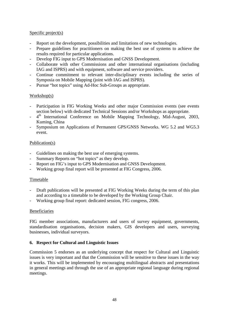## Specific project(s)

- Report on the development, possibilities and limitations of new technologies.
- Prepare guidelines for practitioners on making the best use of systems to achieve the results required for particular applications.
- Develop FIG input to GPS Modernisation and GNSS Development.
- Collaborate with other Commissions and other international organisations (including IAG and ISPRS) and with equipment, software and service providers.
- Continue commitment to relevant inter-disciplinary events including the series of Symposia on Mobile Mapping (joint with IAG and ISPRS).
- Pursue "hot topics" using Ad-Hoc Sub-Groups as appropriate.

## Workshop(s)

- Participation in FIG Working Weeks and other major Commission events (see events section below) with dedicated Technical Sessions and/or Workshops as appropriate.
- 4<sup>th</sup> International Conference on Mobile Mapping Technology, Mid-August, 2003, Kuming, China
- Symposium on Applications of Permanent GPS/GNSS Networks. WG 5.2 and WG5.3 event.

#### Publication(s)

- Guidelines on making the best use of emerging systems.
- Summary Reports on "hot topics" as they develop.
- Report on FIG's input to GPS Modernisation and GNSS Development.
- Working group final report will be presented at FIG Congress, 2006.

#### Timetable

- Draft publications will be presented at FIG Working Weeks during the term of this plan and according to a timetable to be developed by the Working Group Chair.
- Working group final report: dedicated session, FIG congress, 2006.

#### Beneficiaries

FIG member associations, manufacturers and users of survey equipment, governments, standardisation organisations, decision makers, GIS developers and users, surveying businesses, individual surveyors.

#### **6. Respect for Cultural and Linguistic Issues**

Commission 5 endorses as an underlying concept that respect for Cultural and Linguistic issues is very important and that the Commission will be sensitive to these issues in the way it works. This will be implemented by encouraging multilingual abstracts and presentations in general meetings and through the use of an appropriate regional language during regional meetings.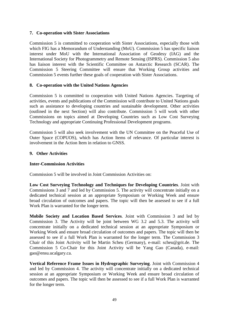## **7. Co-operation with Sister Associations**

Commission 5 is committed to cooperation with Sister Associations, especially those with which FIG has a Memorandum of Understanding (MoU). Commission 5 has specific liaison interest under MoU with the International Association of Geodesy (IAG) and the International Society for Photogrammetry and Remote Sensing (ISPRS). Commission 5 also has liaison interest with the Scientific Committee on Antarctic Research (SCAR). The Commission 5 Steering Committee will ensure that Working Group activities and Commission 5 events further these goals of cooperation with Sister Associations.

## **8. Co-operation with the United Nations Agencies**

Commission 5 is committed to cooperation with United Nations Agencies. Targeting of activities, events and publications of the Commission will contribute to United Nations goals such as assistance to developing countries and sustainable development. Other activities (outlined in the next Section) will also contribute. Commission 5 will work with other Commissions on topics aimed at Developing Countries such as Low Cost Surveying Technology and appropriate Continuing Professional Development programs.

Commission 5 will also seek involvement with the UN Committee on the Peaceful Use of Outer Space (COPUOS), which has Action Items of relevance. Of particular interest is involvement in the Action Item in relation to GNSS.

#### **9. Other Activities**

## **Inter-Commission Activities**

Commission 5 will be involved in Joint Commission Activities on:

**Low Cost Surveying Technology and Techniques for Developing Countries**. Joint with Commissions 3 and 7 and led by Commission 5. The activity will concentrate initially on a dedicated technical session at an appropriate Symposium or Working Week and ensure broad circulation of outcomes and papers. The topic will then be assessed to see if a full Work Plan is warranted for the longer term.

**Mobile Society and Location Based Services**. Joint with Commission 3 and led by Commission 3. The Activity will be joint between WG 3.2 and 5.3. The activity will concentrate initially on a dedicated technical session at an appropriate Symposium or Working Week and ensure broad circulation of outcomes and papers. The topic will then be assessed to see if a full Work Plan is warranted for the longer term. The Commission 3 Chair of this Joint Activity will be Martin Scheu (Germany), e-mail: scheu@grit.de. The Commission 5 Co-Chair for this Joint Activity will be Yang Gao (Canada), e-mail: gao@ensu.ucalgary.ca.

**Vertical Reference Frame Issues in Hydrographic Surveying**. Joint with Commission 4 and led by Commission 4. The activity will concentrate initially on a dedicated technical session at an appropriate Symposium or Working Week and ensure broad circulation of outcomes and papers. The topic will then be assessed to see if a full Work Plan is warranted for the longer term.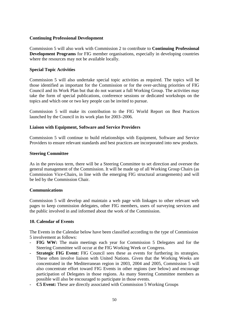#### **Continuing Professional Development**

Commission 5 will also work with Commission 2 to contribute to **Continuing Professional Development Programs** for FIG member organisations, especially in developing countries where the resources may not be available locally.

#### **Special Topic Activities**

Commission 5 will also undertake special topic activities as required. The topics will be those identified as important for the Commission or for the over-arching priorities of FIG Council and its Work Plan but that do not warrant a full Working Group. The activities may take the form of special publications, conference sessions or dedicated workshops on the topics and which one or two key people can be invited to pursue.

Commission 5 will make its contribution to the FIG World Report on Best Practices launched by the Council in its work plan for 2003–2006.

#### **Liaison with Equipment, Software and Service Providers**

Commission 5 will continue to build relationships with Equipment, Software and Service Providers to ensure relevant standards and best practices are incorporated into new products.

#### **Steering Committee**

As in the previous term, there will be a Steering Committee to set direction and oversee the general management of the Commission. It will be made up of all Working Group Chairs (as Commission Vice-Chairs, in line with the emerging FIG structural arrangements) and will be led by the Commission Chair.

#### **Communications**

Commission 5 will develop and maintain a web page with linkages to other relevant web pages to keep commission delegates, other FIG members, users of surveying services and the public involved in and informed about the work of the Commission.

## **10. Calendar of Events**

The Events in the Calendar below have been classified according to the type of Commission 5 involvement as follows:

- FIG WW: The main meetings each year for Commission 5 Delegates and for the Steering Committee will occur at the FIG Working Week or Congress.
- **Strategic FIG Event:** FIG Council sees these as events for furthering its strategies. These often involve liaison with United Nations. Given that the Working Weeks are concentrated in the Mediterranean region in 2003, 2004 and 2005, Commission 5 will also concentrate effort toward FIG Events in other regions (see below) and encourage participation of Delegates in those regions. As many Steering Committee members as possible will also be encouraged to participate in those events.
- **C5 Event:** These are directly associated with Commission 5 Working Groups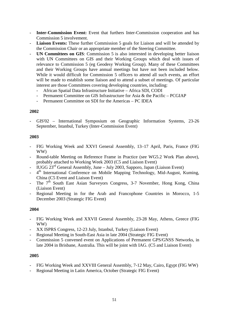- **Inter-Commission Event:** Event that furthers Inter-Commission cooperation and has Commission 5 involvement.
- **Liaison Events:** These further Commission 5 goals for Liaison and will be attended by the Commission Chair or an appropriate member of the Steering Committee.
- **UN Committees on GIS**: Commission 5 is also interested in developing better liaison with UN Committees on GIS and their Working Groups which deal with issues of relevance to Commission 5 (eg Geodesy Working Group). Many of these Committees and their Working Groups have annual meetings but have not been included below. While it would difficult for Commission 5 officers to attend all such events, an effort will be made to establish some liaison and to attend a subset of meetings. Of particular interest are those Committees covering developing countries, including:
	- African Spatial Data Infrastructure Initiative Africa SDI, CODI
	- Permanent Committee on GIS Infrastructure for Asia & the Pacific PCGIAP
	- Permanent Committee on SDI for the Americas PC IDEA

#### **2002**

- GIS'02 – International Symposium on Geographic Information Systems, 23-26 September, Istanbul, Turkey (Inter-Commission Event)

#### **2003**

- FIG Working Week and XXVI General Assembly, 13–17 April, Paris, France (FIG WW)
- Round-table Meeting on Reference Frame in Practice (see WG5.2 Work Plan above), probably attached to Working Week 2003 (C5 and Liaison Event)
- IUGG  $23<sup>rd</sup>$  General Assembly, June July 2003, Sapporo, Japan (Liaison Event)
- 4<sup>th</sup> International Conference on Mobile Mapping Technology, Mid-August, Kuming, China (C5 Event and Liaison Event)
- The  $7<sup>th</sup>$  South East Asian Surveyors Congress, 3-7 November, Hong Kong, China (Liaison Event)
- Regional Meeting in for the Arab and Francophone Countries in Morocco, 1-5 December 2003 (Strategic FIG Event)

#### **2004**

- FIG Working Week and XXVII General Assembly, 23-28 May, Athens, Greece (FIG WW)
- XX ISPRS Congress, 12-23 July, Istanbul, Turkey (Liaison Event)
- Regional Meeting in South-East Asia in late 2004 (Strategic FIG Event)
- Commission 5 convened event on Applications of Permanent GPS/GNSS Networks, in late 2004 in Brisbane, Australia. This will be joint with IAG. (C5 and Liaison Event)

#### **2005**

- FIG Working Week and XXVIII General Assembly, 7-12 May, Cairo, Egypt (FIG WW)
- Regional Meeting in Latin America, October (Strategic FIG Event)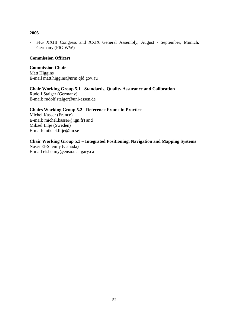## **2006**

- FIG XXIII Congress and XXIX General Assembly, August - September, Munich, Germany (FIG WW)

#### **Commission Officers**

#### **Commission Chair**  Matt Higgins E-mail matt.higgins@nrm.qld.gov.au

## **Chair Working Group 5.1 - Standards, Quality Assurance and Calibration**

Rudolf Staiger (Germany) E-mail: rudolf.staiger@uni-essen.de

## **Chairs Working Group 5.2 - Reference Frame in Practice**

Michel Kasser (France) E-mail: michel.kasser@ign.fr) and Mikael Lilje (Sweden) E-mail: mikael.lilje@lm.se

## **Chair Working Group 5.3 – Integrated Positioning, Navigation and Mapping Systems**

Naser El-Sheimy (Canada) E-mail elsheimy@ensu.ucalgary.ca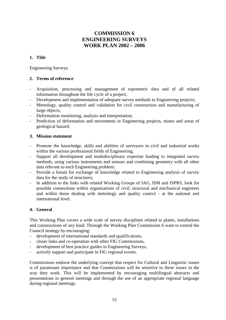# **COMMISSION 6 ENGINEERING SURVEYS WORK PLAN 2002 – 2006**

## **1. Title**

Engineering Surveys.

## **2. Terms of reference**

- Acquisition, processing and management of topometric data and of all related information throughout the life cycle of a project;
- Development and implementation of adequate survey methods in Engineering projects;
- Metrology, quality control and validation for civil construction and manufacturing of large objects:
- Deformation monitoring, analysis and interpretation;
- Prediction of deformation and movements in Engineering projects, mines and areas of geological hazard;

#### **3. Mission statement**

- Promote the knowledge, skills and abilities of surveyors in civil and industrial works within the various professional fields of Engineering;
- Support all development and multidisciplinary expertise leading to integrated survey methods, using various instruments and sensors and combining geometry with all other data relevant to each Engineering problem;
- Provide a forum for exchange of knowledge related to Engineering analysis of survey data for the study of structures;
- In addition to the links with related Working Groups of IAG, ISM and ISPRS, look for possible connections within organisations of civil, structural and mechanical engineers and within those dealing with metrology and quality control - at the national and international level.

## **4. General**

This Working Plan covers a wide scale of survey disciplines related to plants, installations and constructions of any kind. Through the Working Plan Commission 6 want to extend the Council strategy by encouraging:

- development of international standards and qualifications,
- closer links and co-operation with other FIG Commissions,
- development of best practice guides in Engineering Surveys,
- actively support and participate in FIG regional events.

Commissions endorse the underlying concept that respect for Cultural and Linguistic issues is of paramount importance and that Commissions will be sensitive to these issues in the way they work. This will be implemented by encouraging multilingual abstracts and presentations in general meetings and through the use of an appropriate regional language during regional meetings.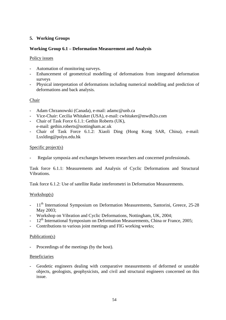## **5. Working Groups**

## **Working Group 6.1 – Deformation Measurement and Analysis**

## Policy issues

- Automation of monitoring surveys.
- Enhancement of geometrical modelling of deformations from integrated deformation surveys
- Physical interpretation of deformations including numerical modelling and prediction of deformations and back analysis.

## Chair

- Adam Chrzanowski (Canada), e-mail: adamc@unb.ca
- Vice-Chair: Cecilia Whitaker (USA), e-mail: cwhitaker@mwdh2o.com
- Chair of Task Force 6.1.1: Gethin Roberts (UK), e-mail: gethin.roberts@nottingham.ac.uk
- Chair of Task Force 6.1.2: Xiaoli Ding (Hong Kong SAR, China), e-mail: Lsxlding@polyu.edu.hk

#### Specific project(s)

Regular symposia and exchanges between researchers and concerned professionals.

Task force 6.1.1: Measurements and Analysis of Cyclic Deformations and Structural Vibrations.

Task force 6.1.2: Use of satellite Radar inteferometri in Deformation Measurements.

#### Workshop(s)

- 11<sup>th</sup> International Symposium on Deformation Measurements, Santorini, Greece, 25-28 May 2003;
- Workshop on Vibration and Cyclic Deformations, Nottingham, UK, 2004;
- $12<sup>th</sup>$  International Symposium on Deformation Measurements, China or France, 2005;
- Contributions to various joint meetings and FIG working weeks;

#### Publication(s)

Proceedings of the meetings (by the host).

#### Beneficiaries

- Geodetic engineers dealing with comparative measurements of deformed or unstable objects, geologists, geophysicists, and civil and structural engineers concerned on this issue.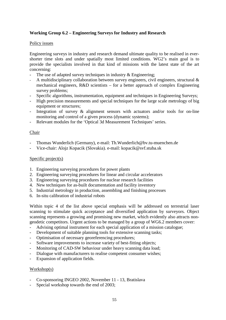## **Working Group 6.2 – Engineering Surveys for Industry and Research**

#### Policy issues

Engineering surveys in industry and research demand ultimate quality to be realised in evershorter time slots and under spatially most limited conditions. WG2's main goal is to provide the specialists involved in that kind of missions with the latest state of the art concerning:

- The use of adapted survey techniques in industry  $\&$  Engineering;
- A multidisciplinary collaboration between survey engineers, civil engineers, structural  $\&$ mechanical engineers, R&D scientists – for a better approach of complex Engineering survey problems;
- Specific algorithms, instrumentation, equipment and techniques in Engineering Surveys;
- High precision measurements and special techniques for the large scale metrology of big equipment or structures;
- Integration of survey & alignment sensors with actuators and/or tools for on-line monitoring and control of a given process (dynamic systems);
- Relevant modules for the 'Optical 3d Measurement Techniques' series.

#### Chair

- Thomas Wunderlich (Germany), e-mail: Th.Wunderlich@bv.tu-muenchen.de
- Vice-chair: Alojz Kopacik (Slovakia). e-mail: kopacik@svf.stuba.sk

#### Specific project(s)

- 1. Engineering surveying procedures for power plants
- 2. Engineering surveying procedures for linear and circular accelerators
- 3. Engineering surveying procedures for nuclear research facilities
- 4. New techniques for as-built documentation and facility inventory
- 5. Industrial metrology in production, assembling and finishing processes
- 6. In-situ calibration of industrial robots

Within topic 4 of the list above special emphasis will be addressed on terrestrial laser scanning to stimulate quick acceptance and diversified application by surveyors. Object scanning represents a growing and promising new market, which evidently also attracts nongeodetic competitors. Urgent actions to be managed by a group of WG6.2 members cover:

- Advising optimal instrument for each special application of a mission catalogue;
- Development of suitable planning tools for extensive scanning tasks;
- Optimisation of necessary georeferencing procedures;
- Software improvements to increase variety of best-fitting objects;
- Monitoring of CAD-SW behaviour under heavy scanning data load;
- Dialogue with manufacturers to realise competent consumer wishes;
- Expansion of application fields.

#### Workshop(s)

- Co-sponsoring INGEO 2002, November 11 13, Bratislava
- Special workshop towards the end of 2003;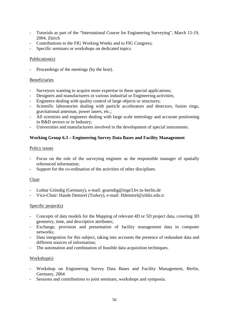- Tutorials as part of the "International Course for Engineering Surveying", March 15-19, 2004, Zürich
- Contributions to the FIG Working Weeks and to FIG Congress;
- Specific seminars or workshops on dedicated topics.

## Publication(s)

Proceedings of the meetings (by the host).

## **Beneficiaries**

- Surveyors wanting to acquire more expertise in these special applications;
- Designers and manufacturers in various industrial or Engineering activities;
- Engineers dealing with quality control of large objects or structures;
- Scientific laboratories dealing with particle accelerators and detectors, fusion rings, gravitational antennas, power lasers, etc.;
- All scientists and engineers dealing with large scale metrology and accurate positioning in R&D sectors or in Industry;
- Universities and manufacturers involved in the development of special instruments.

## **Working Group 6.3 – Engineering Survey Data Bases and Facility Management**

#### Policy issues

- Focus on the role of the surveying engineer as the responsible manager of spatially referenced information;
- Support for the co-ordination of the activities of other disciplines.

## Chair

- Lothar Gründig (Germany), e-mail: gruendig@inge3.bv.tu-berlin.de
- Vice-Chair: Hande Demirel (Turkey), e-mail: Hdemirel@yildiz.edu.tr

## Specific project(s)

- Concepts of data models for the Mapping of relevant 4D or 5D project data, covering 3D geometry, time, and descriptive attributes;
- Exchange, provision and presentation of facility management data in computer networks;
- Data integration for this subject, taking into accounts the presence of redundant data and different sources of information;
- The automation and combination of feasible data acquisition techniques.

## Workshop(s)

- Workshop on Engineering Survey Data Bases and Facility Management, Berlin, Germany, 2004
- Sessions and contributions to joint seminars, workshops and symposia.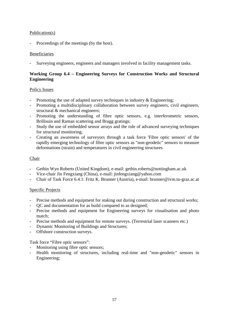## Publication(s)

Proceedings of the meetings (by the host).

## **Beneficiaries**

Surveying engineers, engineers and managers involved in facility management tasks.

## **Working Group 6.4 – Engineering Surveys for Construction Works and Structural Engineering**

#### Policy Issues

- Promoting the use of adapted survey techniques in industry  $\&$  Engineering;
- Promoting a multidisciplinary collaboration between survey engineers, civil engineers, structural & mechanical engineers;
- Promoting the understanding of fibre optic sensors, e.g. interferometric sensors, Brillouin and Raman scattering and Bragg gratings;
- Study the use of embedded sensor arrays and the role of advanced surveying techniques for structural monitoring;
- Creating an awareness of surveyors through a task force 'Fibre optic sensors' of the rapidly emerging technology of fibre optic sensors as "non-geodetic" sensors to measure deformations (strain) and temperatures in civil engineering structures

#### Chair

- Gethin Wyn Roberts (United Kingdom), e-mail: gethin.roberts@nottingham.ac.uk
- Vice-chair Jin Fengxiang (China), e-mail: jinfengxiang@yahoo.com
- Chair of Task Force 6.4.1: Fritz K. Brunner (Austria), e-mail: brunner@ivm.tu-graz.ac.at

## Specific Projects

- Precise methods and equipment for staking out during construction and structural works;
- QC and documentation for as build compared to as designed;
- Precise methods and equipment for Engineering surveys for visualisation and photo match;
- Precise methods and equipment for remote surveys. (Terrestrial laser scanners etc.)
- Dynamic Monitoring of Buildings and Structures;
- Offshore construction surveys.

## Task force "Fibre optic sensors":

- Monitoring using fibre optic sensors;
- Health monitoring of structures, including real-time and "non-geodetic" sensors in Engineering;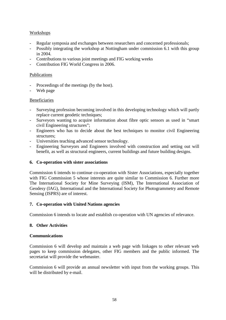## Workshops

- Regular symposia and exchanges between researchers and concerned professionals;
- Possibly integrating the workshop at Nottingham under commission 6.1 with this group in 2004.
- Contributions to various joint meetings and FIG working weeks
- Contribution FIG World Congress in 2006.

#### Publications

- Proceedings of the meetings (by the host).
- Web page

#### Beneficiaries

- Surveying profession becoming involved in this developing technology which will partly replace current geodetic techniques;
- Surveyors wanting to acquire information about fibre optic sensors as used in "smart civil Engineering structures";
- Engineers who has to decide about the best techniques to monitor civil Engineering structures;
- Universities teaching advanced sensor technology.
- Engineering Surveyors and Engineers involved with construction and setting out will benefit, as well as structural engineers, current buildings and future building designs.

#### **6. Co-operation with sister associations**

Commission 6 intends to continue co-operation with Sister Associations, especially together with FIG Commission 5 whose interests are quite similar to Commission 6. Further more The International Society for Mine Surveying (ISM), The International Association of Geodesy (IAG), International and the International Society for Photogrammetry and Remote Sensing (ISPRS) are of interest.

## **7. Co-operation with United Nations agencies**

Commission 6 intends to locate and establish co-operation with UN agencies of relevance.

## **8. Other Activities**

#### **Communications**

Commission 6 will develop and maintain a web page with linkages to other relevant web pages to keep commission delegates, other FIG members and the public informed. The secretariat will provide the webmaster.

Commission 6 will provide an annual newsletter with input from the working groups. This will be distributed by e-mail.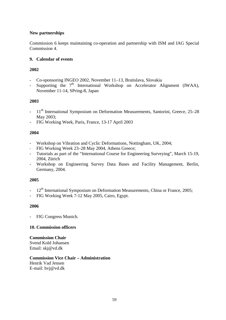## **New partnerships**

Commission 6 keeps maintaining co-operation and partnership with ISM and IAG Special Commission 4.

## **9. Calendar of events**

## **2002**

- Co-sponsoring INGEO 2002, November 11–13, Bratislava, Slovakia
- Supporting the  $7<sup>th</sup>$  International Workshop on Accelerator Alignment (IWAA), November 11-14, SPring-8, Japan

## **2003**

- <sup>-</sup> 11<sup>th</sup> International Symposium on Deformation Measurements, Santorini, Greece, 25–28 May 2003;
- FIG Working Week, Paris, France, 13-17 April 2003

## **2004**

- Workshop on Vibration and Cyclic Deformations, Nottingham, UK, 2004;
- FIG Working Week 23–28 May 2004, Athens Greece;
- Tutorials as part of the "International Course for Engineering Surveying", March 15-19, 2004, Zürich
- Workshop on Engineering Survey Data Bases and Facility Management, Berlin, Germany, 2004.

## **2005**

- 12<sup>th</sup> International Symposium on Deformation Measurements, China or France, 2005;
- FIG Working Week 7-12 May 2005, Cairo, Egypt.

## **2006**

FIG Congress Munich.

## **10. Commission officers**

#### **Commission Chair**  Svend Kold Johansen Email: skj@vd.dk

# **Commission Vice Chair – Administration**

Henrik Vad Jensen E-mail: hvj@vd.dk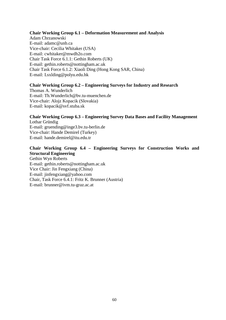#### **Chair Working Group 6.1 – Deformation Measurement and Analysis**

Adam Chrzanowski E-mail: adamc@unb.ca Vice-chair: Cecilia Whitaker (USA) E-mail: cwhitaker@mwdh2o.com Chair Task Force 6.1.1: Gethin Roberts (UK) E-mail: gethin.roberts@nottingham.ac.uk Chair Task Force 6.1.2: Xiaoli Ding (Hong Kong SAR, China) E-mail: Lsxlding@polyu.edu.hk

#### **Chair Working Group 6.2 – Engineering Surveys for Industry and Research**

Thomas A. Wunderlich E-mail: Th.Wunderlich@bv.tu-muenchen.de Vice-chair: Alojz Kopacik (Slovakia) E-mail: kopacik@svf.stuba.sk

# **Chair Working Group 6.3 – Engineering Survey Data Bases and Facility Management**

Lothar Gründig E-mail: gruending@inge3.bv.tu-berlin.de Vice-chair: Hande Demirel (Turkey) E-mail: hande.demirel@itu.edu.tr

## **Chair Working Group 6.4 – Engineering Surveys for Construction Works and Structural Engineering**

Gethin Wyn Roberts E-mail: gethin.roberts@nottingham.ac.uk Vice Chair: Jin Fengxiang (China) E-mail: jinfengxiang@yahoo.com Chair, Task Force 6.4.1: Fritz K. Brunner (Austria) E-mail: brunner@ivm.tu-graz.ac.at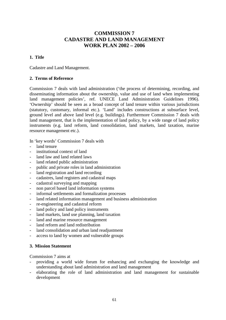# **COMMISSION 7 CADASTRE AND LAND MANAGEMENT WORK PLAN 2002 – 2006**

## **1. Title**

Cadastre and Land Management.

#### **2. Terms of Reference**

Commission 7 deals with land administration ('the process of determining, recording, and disseminating information about the ownership, value and use of land when implementing land management policies', ref. UNECE Land Administration Guidelines 1996). 'Ownership' should be seen as a broad concept of land tenure within various jurisdictions (statutory, customary, informal etc.). 'Land' includes constructions at subsurface level, ground level and above land level (e.g. buildings). Furthermore Commission 7 deals with land management, that is the implementation of land policy, by a wide range of land policy instruments (e.g. land reform, land consolidation, land markets, land taxation, marine resource management etc.).

In 'key words' Commission 7 deals with

- land tenure
- institutional context of land
- land law and land related laws
- land related public administration
- public and private roles in land administration
- land registration and land recording
- cadastres, land registers and cadastral maps
- cadastral surveying and mapping
- non parcel based land information systems
- informal settlements and formalization processes
- land related information management and business administration
- re-engineering and cadastral reform
- land policy and land policy instruments
- land markets, land use planning, land taxation
- land and marine resource management
- land reform and land redistribution
- land consolidation and urban land readjustment
- access to land by women and vulnerable groups

#### **3. Mission Statement**

Commission 7 aims at

- providing a world wide forum for enhancing and exchanging the knowledge and understanding about land administration and land management
- elaborating the role of land administration and land management for sustainable development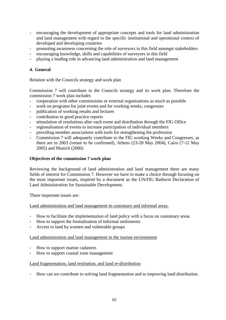- encouraging the development of appropriate concepts and tools for land administration and land management with regard to the specific institutional and operational context of developed and developing countries
- promoting awareness concerning the role of surveyors in this field amongst stakeholders
- encouraging knowledge, skills and capabilities of surveyors in this field
- playing a leading role in advancing land administration and land management

## **4. General**

Relation with the Councils strategy and work plan

Commission 7 will contribute to the Councils strategy and its work plan. Therefore the commission 7 work plan includes

- cooperation with other commissions or external organisations as much as possible
- work on programs for joint events and for working weeks, congresses
- publication of working results and lectures
- contribution to good practice reports
- stimulation of resolutions after each event and distribution through the FIG Office
- regionalisation of events to increase participation of individual members
- providing member associations with tools for strengthening the profession
- Commission 7 will adequately contribute to the FIG working Weeks and Congresses, as there are in 2003 (venue to be confirmed), Athens (23-28 May 2004), Cairo (7-12 May 2005) and Munich (2006)

#### **Objectives of the commission 7 work plan**

Reviewing the background of land administration and land management there are many fields of interest for Commission 7. However we have to make a choice through focusing on the most important issues, inspired by a document as the UN/FIG Bathurst Declaration of Land Administration for Sustainable Development.

These important issues are:

Land administration and land management in customary and informal areas.

- How to facilitate the implementation of land policy with a focus on customary areas
- How to support the formalisation of informal settlements
- Access to land by women and vulnerable groups

Land administration and land management in the marine environment

- How to support marine cadastres
- How to support coastal zone management

#### Land fragmentation, land restitution, and land re-distribution

- How can we contribute to solving land fragmentation and to improving land distribution.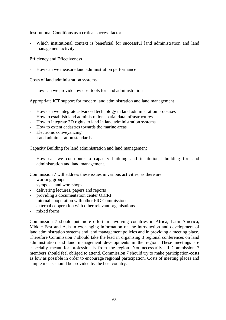## Institutional Conditions as a critical success factor

- Which institutional context is beneficial for successful land administration and land management activity

#### Efficiency and Effectiveness

How can we measure land administration performance

#### Costs of land administration systems

how can we provide low cost tools for land administration

#### Appropriate ICT support for modern land administration and land management

- How can we integrate advanced technology in land administration processes
- How to establish land administration spatial data infrastructures
- How to integrate 3D rights to land in land administration systems
- How to extent cadastres towards the marine areas
- Electronic conveyancing
- Land administration standards

#### Capacity Building for land administration and land management

- How can we contribute to capacity building and institutional building for land administration and land management.

Commission 7 will address these issues in various activities, as there are

- working groups
- symposia and workshops
- delivering lectures, papers and reports
- providing a documentation center OICRF
- internal cooperation with other FIG Commissions
- external cooperation with other relevant organisations
- mixed forms

Commission 7 should put more effort in involving countries in Africa, Latin America, Middle East and Asia in exchanging information on the introduction and development of land administration systems and land management policies and in providing a meeting place. Therefore Commission 7 should take the lead in organising 3 regional conferences on land administration and land management developments in the region. These meetings are especially meant for professionals from the region. Not necessarily all Commission 7 members should feel obliged to attend. Commission 7 should try to make participation-costs as low as possible in order to encourage regional participation. Costs of meeting places and simple meals should be provided by the host country.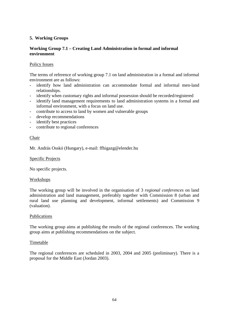## **5. Working Groups**

## **Working Group 7.1 – Creating Land Administration in formal and informal environment**

## Policy Issues

The terms of reference of working group 7.1 on land administration in a formal and informal environment are as follows:

- identify how land administration can accommodate formal and informal men-land relationships.
- identify when customary rights and informal possession should be recorded/registered
- identify land management requirements to land administration systems in a formal and informal environment, with a focus on land use.
- contribute to access to land by women and vulnerable groups
- develop recommendations
- identify best practices
- contribute to regional conferences

#### Chair

Mr. András Osskó (Hungary), e-mail: ffhigazg@elender.hu

#### Specific Projects

No specific projects.

#### Workshops

The working group will be involved in the organisation of 3 *regional conferences* on land administration and land management, preferably together with Commission 8 (urban and rural land use planning and development, informal settlements) and Commission 9 (valuation).

#### Publications

The working group aims at publishing the results of the regional conferences. The working group aims at publishing recommendations on the subject.

#### Timetable

The regional conferences are scheduled in 2003, 2004 and 2005 (preliminary). There is a proposal for the Middle East (Jordan 2003).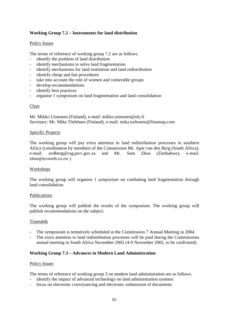## **Working Group 7.2 – Instruments for land distribution**

#### Policy Issues

The terms of reference of working group 7.2 are as follows.

- identify the problem of land distribution
- identify mechanisms to solve land fragmentation
- identify mechanisms for land restitution and land redistribution
- identify cheap and fast procedures
- take into account the role of women and vulnerable groups
- develop recommendations
- identify best practices
- organise 1 symposium on land fragmentation and land consolidation

#### Chair

Mr. Mikko Uimonen (Finland), e-mail: mikko.uimonen@nls.fi Secretary: Mr. Mika Törhönen (Finland), e-mail: mika.torhonen@finnmap.com

#### Specific Projects

The working group will pay extra attention to land redistribution processes in southern Africa (coordination by members of the Commission Mr. Apie van den Berg (South Africa), e-mail: avdberg@csg.pwv.gov.za and Mr. Sam Zhou (Zimbabwe), e-mail: zhou@ecoweb.co.zw )

#### Workshops

The working group will organise 1 *symposium* on combating land fragmentation through land consolidation.

#### Publications

The working group will publish the results of the symposium. The working group will publish recommendations on the subject.

#### Timetable

- The symposium is tentatively scheduled at the Commission 7 Annual Meeting in 2004.
- The extra attention to land redistribution processes will be paid during the Commissions annual meeting in South Africa November 2002 (4-9 November 2002, to be confirmed).

## **Working Group 7.3 – Advances in Modern Land Administration**

#### Policy Issues

The terms of reference of working group 3 on modern land administration are as follows.

- identify the impact of advanced technology on land administration systems
- focus on electronic conveyancing and electronic submission of documents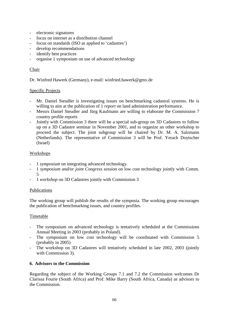- electronic signatures
- focus on internet as a distribution channel
- focus on standards (ISO as applied to 'cadastres')
- develop recommendations
- identify best practices
- organise 1 symposium on use of advanced technology

#### Chair

Dr. Winfred Hawerk (Germany), e-mail: winfried.hawerk@gmx.de

#### Specific Projects

- Mr. Daniel Steudler is investigating issues on benchmarking cadastral systems. He is willing to aim at the publication of 1 *report* on land administration performance.
- Messrs Daniel Steudler and Jürg Kaufmann are willing to elaborate the Commission 7 country profile reports
- Jointly with Commission 3 there will be a special sub-group on 3D Cadastres to follow up on a 3D Cadastre seminar in November 2001, and to organize an other workshop to proceed the subject. The joint subgroup will be chaired by Dr. M. A. Salzmann (Netherlands). The representative of Commission 3 will be Prof. Yerach Doytscher (Israel)

#### Workshops

- 1 *symposium* on integrating advanced technology.
- 1 *symposium and/or joint Congress session* on low cost technology jointly with Comm. 5
- 1 *workshop* on 3D Cadastres jointly with Commission 3

#### Publications

The working group will publish the results of the symposia. The working group encourages the publication of benchmarking issues, and country profiles.

## **Timetable**

- The symposium on advanced technology is tentatively scheduled at the Commissions Annual Meeting in 2003 (probably in Poland).
- The symposium on low cost technology will be coordinated with Commission 5 (probably in 2005)
- The workshop on 3D Cadastres will tentatively scheduled in late 2002, 2003 (jointly with Commission 3).

#### **6. Advisors to the Commission**

Regarding the subject of the Working Groups 7.1 and 7.2 the Commission welcomes Dr Clarissa Fourie (South Africa) and Prof. Mike Barry (South Africa, Canada) as advisors to the Commission.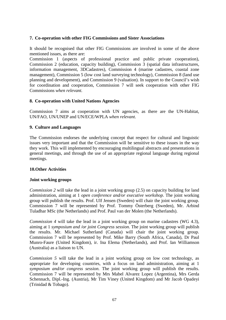## **7. Co-operation with other FIG Commissions and Sister Associations**

It should be recognised that other FIG Commissions are involved in some of the above mentioned issues, as there are:

Commission 1 (aspects of professional practice and public private cooperation), Commission 2 (education, capacity building), Commission 3 (spatial data infrastructures, information management, 3DCadastres), Commission 4 (marine cadastres, coastal zone management), Commission 5 (low cost land surveying technology), Commission 8 (land use planning and development), and Commission 9 (valuation). In support to the Council's wish for coordination and cooperation, Commission 7 will seek cooperation with other FIG Commissions *when relevant.* 

#### **8. Co-operation with United Nations Agencies**

Commission 7 aims at cooperation with UN agencies, as there are the UN-Habitat, UN/FAO, UN/UNEP and UN/ECE/WPLA *when relevant*.

#### **9. Culture and Languages**

The Commission endorses the underlying concept that respect for cultural and linguistic issues very important and that the Commission will be sensitive to these issues in the way they work. This will implemented by encouraging multilingual abstracts and presentations in general meetings, and through the use of an appropriate regional language during regional meetings.

## **10.Other Activities**

#### **Joint working groups**

*Commission 2* will take the lead in a joint working group (2.5) on capacity building for land administration, aiming at 1 *open conference and/or executive workshop.* The joint working group will publish the results. Prof. Ulf Jensen (Sweden) will chair the joint working group. Commission 7 will be represented by Prof. Tommy Österberg (Sweden), Mr. Arbind Tuladhar MSc (the Netherlands) and Prof. Paul van der Molen (the Netherlands).

*Commission 4* will take the lead in a joint working group on marine cadastres (WG 4.3), aiming at 1 *symposium and /or joint Congress session*. The joint working group will publish the results. Mr. Michael Sutherland (Canada) will chair the joint working group. Commission 7 will be represented by Prof. Mike Barry (South Africa, Canada), Dr Paul Munro-Faure (United Kingdom), ir. Ina Elema (Netherlands), and Prof. Ian Williamson (Australia) as a liaison to UN.

*Commission 5* will take the lead in a joint working group on low cost technology, as appropriate for developing countries, with a focus on land administration, aiming at 1 *symposium and/or congress session.* The joint working group will publish the results. Commission 7 will be represented by Mrs Mabel Alvarez Lopez (Argentina), Mrs Gerda Schennach, Dipl.-Ing. (Austria), Mr Tim Viney (United Kingdom) and Mr Jacob Opadeyi (Trinidad & Tobago).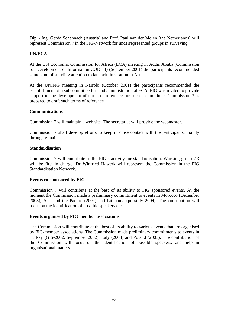Dipl.-.Ing. Gerda Schennach (Austria) and Prof. Paul van der Molen (the Netherlands) will represent Commission 7 in the FIG-Network for underrepresented groups in surveying.

## **UN/ECA**

At the UN Economic Commission for Africa (ECA) meeting in Addis Ababa (Commission for Development of Information CODI II) (September 2001) the participants recommended some kind of standing attention to land administration in Africa.

At the UN/FIG meeting in Nairobi (October 2001) the participants recommended the establishment of a subcommittee for land administration at ECA. FIG was invited to provide support to the development of terms of reference for such a committee. Commission 7 is prepared to draft such terms of reference.

#### **Communications**

Commission 7 will maintain a web site. The secretariat will provide the webmaster.

Commission 7 shall develop efforts to keep in close contact with the participants, mainly through e-mail.

#### **Standardisation**

Commission 7 will contribute to the FIG's activity for standardisation. Working group 7.3 will be first in charge. Dr Winfried Hawerk will represent the Commission in the FIG Standardisation Network.

#### **Events co-sponsored by FIG**

Commission 7 will contribute at the best of its ability to FIG sponsored events. At the moment the Commission made a preliminary commitment to events in Morocco (December 2003), Asia and the Pacific (2004) and Lithuania (possibly 2004). The contribution will focus on the identification of possible speakers etc.

#### **Events organised by FIG member associations**

The Commission will contribute at the best of its ability to various events that are organised by FIG-member associations. The Commission made preliminary commitments to events in Turkey (GIS-2002, September 2002), Italy (2003) and Poland (2003). The contribution of the Commission will focus on the identification of possible speakers, and help in organisational matters.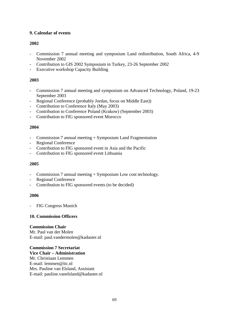## **9. Calendar of events**

## **2002**

- Commission 7 annual meeting and symposium Land redistribution, South Africa, 4-9 November 2002
- Contribution to GIS 2002 Symposium in Turkey, 23-26 September 2002
- Executive workshop Capacity Building

## **2003**

- Commission 7 annual meeting and symposium on Advanced Technology, Poland, 19-23 September 2003
- Regional Conference (probably Jordan, focus on Middle East))
- Contribution to Conference Italy (May 2003)
- Contribution to Conference Poland (Krakow) (September 2003)
- Contribution to FIG sponsored event Morocco

## **2004**

- Commission 7 annual meeting + Symposium Land Fragmentation
- Regional Conference
- Contribution to FIG sponsored event in Asia and the Pacific
- Contribution to FIG sponsored event Lithuania

## **2005**

- Commission 7 annual meeting + Symposium Low cost technology.
- Regional Conference
- Contribution to FIG sponsored events (to be decided)

## **2006**

FIG Congress Munich

## **10. Commission Officers**

## **Commission Chair**  Mr. Paul van der Molen E-mail: paul.vandermolen@kadaster.nl

**Commission 7 Secretariat Vice Chair – Administration** Mr. Christiaan Lemmen E-mail: lemmen@itc.nl Mrs. Pauline van Elsland, Assistant E-mail: pauline.vanelsland@kadaster.nl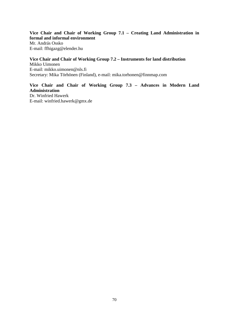**Vice Chair and Chair of Working Group 7.1 – Creating Land Administration in formal and informal environment**  Mr. András Ossko E-mail: ffhigazg@elender.hu

**Vice Chair and Chair of Working Group 7.2 – Instruments for land distribution**  Mikko Uimonen E-mail: mikko.uimonen@nls.fi Secretary: Mika Törhönen (Finland), e-mail: mika.torhonen@finnmap.com

**Vice Chair and Chair of Working Group 7.3 – Advances in Modern Land Administration**  Dr. Winfried Hawerk E-mail: winfried.hawerk@gmx.de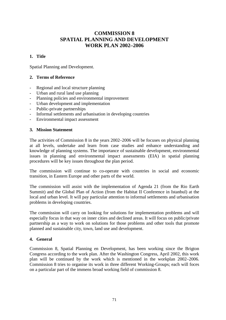# **COMMISSION 8 SPATIAL PLANNING AND DEVELOPMENT WORK PLAN 2002–2006**

## **1. Title**

Spatial Planning and Development.

## **2. Terms of Reference**

- Regional and local structure planning
- Urban and rural land use planning
- Planning policies and environmental improvement
- Urban development and implementation
- Public-private partnerships
- Informal settlements and urbanisation in developing countries
- Environmental impact assessment

## **3. Mission Statement**

The activities of Commission 8 in the years 2002–2006 will be focuses on physical planning at all levels, undertake and learn from case studies and enhance understanding and knowledge of planning systems. The importance of sustainable development, environmental issues in planning and environmental impact assessments (EIA) in spatial planning procedures will be key issues throughout the plan period.

The commission will continue to co-operate with countries in social and economic transition, in Eastern Europe and other parts of the world.

The commission will assist with the implementation of Agenda 21 (from the Rio Earth Summit) and the Global Plan of Action (from the Habitat II Conference in Istanbul) at the local and urban level. It will pay particular attention to informal settlements and urbanisation problems in developing countries.

The commission will carry on looking for solutions for implementation problems and will especially focus in that way on inner cities and declined areas. It will focus on public/private partnership as a way to work on solutions for those problems and other tools that promote planned and sustainable city, town, land use and development.

## **4. General**

Commission 8, Spatial Planning en Development, has been working since the Brigton Congress according to the work plan. After the Washington Congress, April 2002, this work plan will be continued by the work which is mentioned in the workplan 2002–2006. Commission 8 tries to organise its work in three different Working-Groups; each will foces on a particular part of the immens broad working field of commission 8.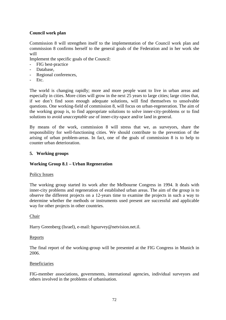## **Council work plan**

Commission 8 will strengthen itself to the implementation of the Council work plan and commission 8 confirms herself to the general goals of the Federation and in her work she will

Implement the specific goals of the Council:

- FIG best-practice
- Database,
- Regional conferences,
- Etc.

The world is changing rapidly; more and more people want to live in urban areas and especially in cities. More cities will grow in the next 25 years to large cities; large cities that, if we don't find soon enough adequate solutions, will find themselves to unsolvable questions. One working-field of commission 8, will focus on urban-regeneration. The aim of the working group is, to find appropriate solutions to solve inner-city-problems or to find solutions to avoid *unacceptable use* of inner-city-space and/or land in general.

By means of the work, commission 8 will stress that we, as surveyors, share the responsibility for well-functioning cities. We should contribute to the prevention of the arising of urban problem-areas. In fact, one of the goals of commission 8 is to help to counter urban deterioration.

### **5. Working groups**

### **Working Group 8.1 – Urban Regeneration**

### Policy Issues

The working group started its work after the Melbourne Congress in 1994. It deals with inner-city problems and regeneration of established urban areas. The aim of the group is to observe the different projects on a 12-years time to examine the projects in such a way to determine whether the methods or instruments used present are successful and applicable way for other projects in other countries.

### Chair

Harry Greenberg (Israel), e-mail: hgsurvey@netvision.net.il.

### Reports

The final report of the working-group will be presented at the FIG Congress in Munich in 2006.

### **Beneficiaries**

FIG-member associations, governments, international agencies, individual surveyors and others involved in the problems of urbanisation.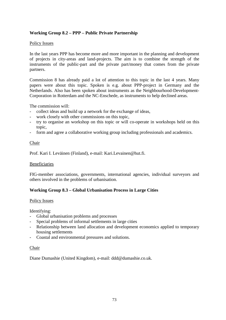## **Working Group 8.2 – PPP – Public Private Partnership**

## Policy Issues

In the last years PPP has become more and more important in the planning and development of projects in city-areas and land-projects. The aim is to combine the strength of the instruments of the public-part and the private part/money that comes from the private partners.

Commission 8 has already paid a lot of attention to this topic in the last 4 years. Many papers were about this topic. Spoken is e.g. about PPP-project in Germany and the Netherlands. Also has been spoken about instruments as the Neighbourhood-Development-Corporation in Rotterdam and the NC-Enschede, as instruments to help declined areas.

The commission will:

- collect ideas and build up a network for the exchange of ideas,
- work closely with other commissions on this topic,
- try to organise an workshop on this topic or will co-operate in workshops held on this topic,
- form and agree a collaborative working group including professionals and academics.

### Chair

Prof. Kari I. Leväinen (Finland), e-mail: Kari.Levainen@hut.fi.

### Beneficiaries

FIG-member associations, governments, international agencies, individual surveyors and others involved in the problems of urbanisation.

## **Working Group 8.3 – Global Urbanisation Process in Large Cities**

### Policy Issues

Identifying:

- Global urbanisation problems and processes
- Special problems of informal settlements in large cities
- Relationship between land allocation and development economics applied to temporary housing settlements
- Coastal and environmental pressures and solutions.

### Chair

Diane Dumashie (United Kingdom), e-mail: ddd@dumashie.co.uk.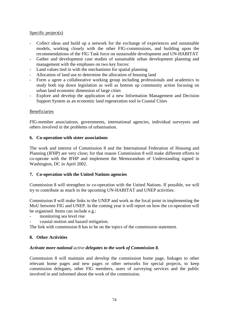## Specific project(s)

- Collect ideas and build up a network for the exchange of experiences and sustainable models, working closely with the other FIG-commissions, and building upon the recommendations of the FIG Task force on sustainable development and UN-HABITAT
- Gather and development case studies of sustainable urban development planning and management with the emphases on two key forces:
- Land values tied in with the mechanisms for spatial planning
- Allocation of land use to determine the allocation of housing land
- Form a agree a collaborative working group including professionals and academics to study both top down legislation as well as bottom up community action focusing on urban land economic dimension of large cities
- Explore and develop the application of a new Information Management and Decision Support System as an economic land regeneration tool in Coastal Cities

### Beneficiaries

FIG-member associations, governments, international agencies, individual surveyors and others involved in the problems of urbanisation.

#### **6. Co-operation with sister associations**

The work and interest of Commission 8 and the International Federation of Housing and Planning (IFHP) are very close; for that reason Commission 8 will make different efforts to co-operate with the IFHP and implement the Memorandum of Understanding signed in Washington, DC in April 2002.

### **7. Co-operation with the United Nations agencies**

Commission 8 will strengthen to co-operation with the United Nations. If possible, we will try to contribute as much in the upcoming UN-HABITAT and UNEP activities.

Commission 8 will make links to the UNEP and work as the focal point in implementing the MoU between FIG and UNEP. In the coming year it will report on how the co-operation will be organised. Items can include e.g.:

- monitoring sea level rise
- coastal motion and hazard mitigation.

The link with commission 8 has to be on the topics of the commission statement.

### **8. Other Activities**

### *Activate more national active delegates to the work of Commission 8.*

Commission 8 will maintain and develop the commission home page, linkages to other relevant home pages and new pages or other networks for special projects, to keep commission delegates, other FIG members, users of surveying services and the public involved in and informed about the work of the commission.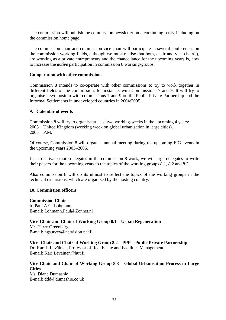The commission will publish the commission newsletter on a continuing basis, including on the commission home page.

The commission chair and commission vice-chair will participate in several conferences on the commission working-fields, although we must realise that both, chair and vice-chair(s), are working as a private entrepreneurs and the chancellance for the upcoming years is, how to increase the *active* participation in commission 8 working-groups.

#### **Co-operation with other commissions**

Commission 8 intends to co-operate with other commissions to try to work together in different fields of the commission, for instance: with Commissions 7 and 9. It will try to organise a symposium with commissions 7 and 9 on the Public Private Partnership and the Informal Settlements in undeveloped countries in 2004/2005.

#### **9. Calendar of events**

Commission 8 will try to organise at least two working-weeks in the upcoming 4 years: 2003 United Kingdom (working week on global urbanisation in large cities). 2005 P.M.

Of course, Commission 8 will organise annual meeting during the upcoming FIG-events in the upcoming years 2003–2006.

Just to activate more delegates in the commission 8 work, we will urge delegates to write their papers for the upcoming years to the topics of the working groups 8.1, 8.2 and 8.3.

Also commission 8 will do its utmost to reflect the topics of the working groups in the technical excursions, which are organized by the hosting country.

### **10. Commission officers**

#### **Commission Chair**

ir. Paul A.G. Lohmann E-mail: Lohmann.Paul@Zonnet.nl

**Vice-Chair and Chair of Working Group 8.1 – Urban Regeneration**  Mr. Harry Greenberg E-mail: hgsurvey@netvision.net.il

**Vice- Chair and Chair of Working Group 8.2 – PPP – Public Private Partnership** 

Dr. Kari I. Leväinen, Professor of Real Estate and Facilities Management E-mail: Kari.Levainen@hut.fi

### **Vice-Chair and Chair of Working Group 8.3 – Global Urbanisation Process in Large Cities**

Ms. Diane Dumashie E-mail: ddd@dumashie.co.uk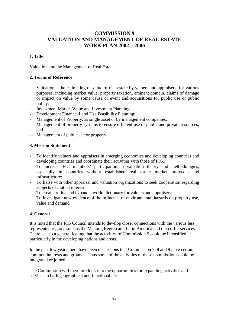# **COMMISSION 9 VALUATION AND MANAGEMENT OF REAL ESTATE WORK PLAN 2002 – 2006**

## **1. Title**

Valuation and the Management of Real Estate.

## **2. Terms of Reference**

- Valuation the estimating of value of real estate by valuers and appraisers, for various purposes, including market value, property taxation, eminent domain, claims of damage or impact on value by some cause or event and acquisitions for public use or public policy;
- Investment Market Value and Investment Planning;
- Development Finance, Land Use Feasibility Planning;
- Management of Property, as single asset or by management companies;
- Management of property systems to ensure efficient use of public and private resources; and
- Management of public sector property.

## **3. Mission Statement**

- To identify valuers and appraisers in emerging economies and developing countries and developing countries and coordinate their activities with those of FIG.;
- To increase FIG members' participation in valuation theory and methodologies, especially in countries without established real estate market protocols and infrastructure;
- To liaise with other appraisal and valuation organizations to seek cooperation regarding subjects of mutual interest;
- To create, refine and expand a world dictionary for valuers and appraisers;
- To investigate new evidence of the influence of environmental hazards on property use, value and demand.

## **4. General**

It is noted that the FIG Council intends to develop closer connections with the various less represented regions such as the Mekong Region and Latin America and then offer services. There is also a general feeling that the activities of Commission 9 could be intensified particularly in the developing nations and areas.

In the past few years there have been discussions that Commission 7, 8 and 9 have certain common interests and grounds. Thus some of the activities of these commissions could be integrated or joined.

The Commission will therefore look into the opportunities for expanding activities and services in both geographical and functional terms.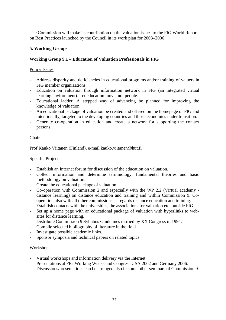The Commission will make its contribution on the valuation issues to the FIG World Report on Best Practices launched by the Council in its work plan for 2003–2006.

## **5. Working Groups**

## **Working Group 9.1 – Education of Valuation Professionals in FIG**

## Policy Issues

- Address disparity and deficiencies in educational programs and/or training of valuers in FIG member organizations.
- Education on valuation through information network in FIG (an integrated virtual learning environment). Let education move, not people.
- Educational ladder. A stepped way of advancing be planned for improving the knowledge of valuation.
- An educational package of valuation be created and offered on the homepage of FIG and intentionally, targeted to the developing countries and those economies under transition.
- Generate co-operation in education and create a network for supporting the contact persons.

## Chair

Prof Kauko Viitanen (Finland), e-mail kauko.viitanen@hut.fi

### Specific Projects

- Establish an Internet forum for discussion of the education on valuation.
- Collect information and determine terminology, fundamental theories and basic methodology on valuation.
- Create the educational package of valuation.
- Co-operation with Commission 2 and especially with the WP 2.2 (Virtual academy distance learning) on distance education and training and within Commission 9. Cooperation also with all other commissions as regards distance education and training.
- Establish contacts with the universities, the associations for valuation etc. outside FIG.
- Set up a home page with an educational package of valuation with hyperlinks to websites for distance learning.
- Distribute Commission 9 Syllabus Guidelines ratified by XX Congress in 1994.
- Compile selected bibliography of literature in the field.
- Investigate possible academic links.
- Sponsor symposia and technical papers on related topics.

### Workshops

- Virtual workshops and information delivery via the Internet.
- Presentations at FIG Working Weeks and Congress USA 2002 and Germany 2006.
- Discussions/presentations can be arranged also in some other seminars of Commission 9.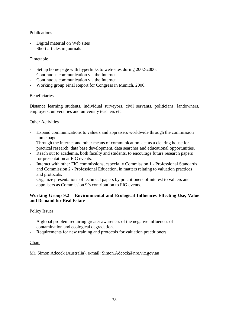## Publications

- Digital material on Web sites
- Short articles in journals

## Timetable

- Set up home page with hyperlinks to web-sites during 2002-2006.
- Continuous communication via the Internet.
- Continuous communication via the Internet.
- Working group Final Report for Congress in Munich, 2006.

### Beneficiaries

Distance learning students, individual surveyors, civil servants, politicians, landowners, employers, universities and university teachers etc.

#### Other Activities

- Expand communications to valuers and appraisers worldwide through the commission home page.
- Through the internet and other means of communication, act as a clearing house for practical research, data base development, data searches and educational opportunities.
- Reach out to academia, both faculty and students, to encourage future research papers for presentation at FIG events.
- Interact with other FIG commissions, especially Commission 1 Professional Standards and Commission 2 - Professional Education, in matters relating to valuation practices and protocols.
- Organize presentations of technical papers by practitioners of interest to valuers and appraisers as Commission 9's contribution to FIG events.

## **Working Group 9.2 – Environmental and Ecological Influences Effecting Use, Value and Demand for Real Estate**

### Policy Issues

- A global problem requiring greater awareness of the negative influences of contamination and ecological degradation.
- Requirements for new training and protocols for valuation practitioners.

### Chair

Mr. Simon Adcock (Australia), e-mail: Simon.Adcock@nre.vic.gov.au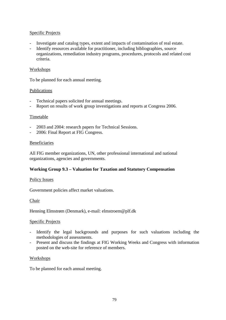## Specific Projects

- Investigate and catalog types, extent and impacts of contamination of real estate.
- Identify resources available for practitioner, including bibliographies, source organizations, remediation industry programs, procedures, protocols and related cost criteria.

### Workshops

To be planned for each annual meeting.

### Publications

- Technical papers solicited for annual meetings.
- Report on results of work group investigations and reports at Congress 2006.

### Timetable

- 2003 and 2004: research papers for Technical Sessions.
- 2006: Final Report at FIG Congress.

### Beneficiaries

All FIG member organizations, UN, other professional international and national organizations, agencies and governments.

## **Working Group 9.3 – Valuation for Taxation and Statutory Compensation**

### Policy Issues

Government policies affect market valuations.

### Chair

Henning Elmstrøm (Denmark), e-mail: elmstroem@plf.dk

### Specific Projects

- Identify the legal backgrounds and purposes for such valuations including the methodologies of assessments.
- Present and discuss the findings at FIG Working Weeks and Congress with information posted on the web-site for reference of members.

### **Workshops**

To be planned for each annual meeting.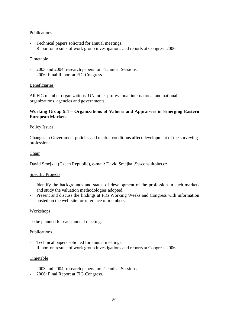## Publications

- Technical papers solicited for annual meetings.
- Report on results of work group investigations and reports at Congress 2006.

### Timetable

- 2003 and 2004: research papers for Technical Sessions.
- 2006: Final Report at FIG Congress.

### Beneficiaries

All FIG member organizations, UN, other professional international and national organizations, agencies and governments.

### **Working Group 9.4 – Organizations of Valuers and Appraisers in Emerging Eastern European Markets**

### Policy Issues

Changes in Government policies and market conditions affect development of the surveying profession.

### Chair

David Smejkal (Czech Republic), e-mail: David.Smejkal@a-consultplus.cz

### Specific Projects

- Identify the backgrounds and status of development of the profession in such markets and study the valuation methodologies adopted.
- Present and discuss the findings at FIG Working Weeks and Congress with information posted on the web-site for reference of members.

### Workshops

To be planned for each annual meeting.

### Publications

- Technical papers solicited for annual meetings.
- Report on results of work group investigations and reports at Congress 2006.

### Timetable

- 2003 and 2004: research papers for Technical Sessions.
- 2006: Final Report at FIG Congress.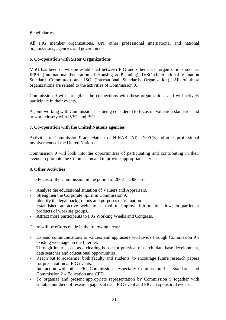## Beneficiaries

All FIG member organizations, UN, other professional international and national organizations, agencies and governments.

### **6. Co-operation with Sister Organizations**

MoU has been or will be established between FIG and other sister organizations such as IFPH, (International Federation of Housing & Planning), IVSC (International Valuation Standard Committee) and ISO (International Standards Organization). All of these organizations are related to the activities of Commission 9.

Commission 9 will strengthen the connections with these organizations and will actively participate in their events.

A joint working with Commission 1 is being considered to focus on valuation standards and to work closely with IVSC and ISO.

### **7. Co-operation with the United Nations agencies**

Activities of Commission 9 are related to UN-HABITAT, UN-ECE and other professional involvements of the United Nations.

Commission 9 will look into the opportunities of participating and contributing in their events to promote the Commission and to provide appropriate services.

## **8. Other Activities**

The Focus of the Commission in the period of 2002 – 2006 are:

- Analyse the educational situation of Valuers and Appraisers.
- Strengthen the Corporate Spirit in Commission 9.
- Identify the legal backgrounds and purposes of Valuation.
- Established an active web-site as tool to improve information flow; in particular products of working groups.
- Attract more participants to FIG Working Weeks and Congress.

There will be efforts made in the following areas:

- Expand communications to valuers and appraisers worldwide through Commission 9's existing web page on the Internet.
- Through Internet, act as a clearing house for practical research, data base development, data searches and educational opportunities.
- Reach out to academia, both faculty and students, to encourage future research papers for presentation at FIG events.
- Interaction with other FIG Commissions, especially Commission  $1 -$  Standards and Commission 2 – Education and CPD.
- To organize and present appropriate representation by Commission 9 together with suitable numbers of research papers at each FIG event and FIG co-sponsored events.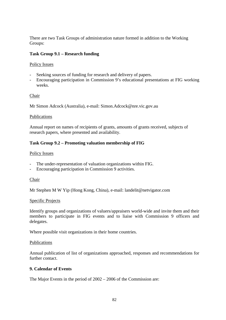There are two Task Groups of administration nature formed in addition to the Working Groups:

## **Task Group 9.1 – Research funding**

## Policy Issues

- Seeking sources of funding for research and delivery of papers.
- Encouraging participation in Commission 9's educational presentations at FIG working weeks.

### Chair

Mr Simon Adcock (Australia), e-mail: Simon.Adcock@nre.vic.gov.au

### Publications

Annual report on names of recipients of grants, amounts of grants received, subjects of research papers, where presented and availability.

## **Task Group 9.2 – Promoting valuation membership of FIG**

### Policy Issues

- The under-representation of valuation organizations within FIG.
- Encouraging participation in Commission 9 activities.

### Chair

Mr Stephen M W Yip (Hong Kong, China), e-mail: landelit@netvigator.com

### Specific Projects

Identify groups and organizations of valuers/appraisers world-wide and invite them and their members to participate in FIG events and to liaise with Commission 9 officers and delegates.

Where possible visit organizations in their home countries.

### Publications

Annual publication of list of organizations approached, responses and recommendations for further contact.

### **9. Calendar of Events**

The Major Events in the period of 2002 – 2006 of the Commission are: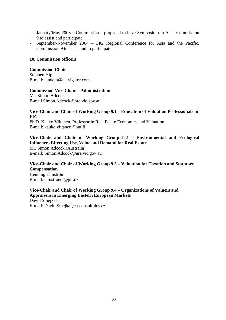- January/May 2003 Commission 2 proposed to have Symposium in Asia, Commission 9 to assist and participate.
- September-November 2004 FIG Regional Conference for Asia and the Pacific, Commission 9 to assist and to participate.

#### **10. Commission officers**

#### **Commission Chair**

Stephen Yip E-mail: landelit@netvigator.com

#### **Commission Vice Chair – Administration**

Mr. Simon Adcock E-mail Simon.Adcock@nre.vic.gov.au

#### **Vice-Chair and Chair of Working Group 9.1 – Education of Valuation Professionals in FIG**

Ph.D. Kauko Viitanen, Professor in Real Estate Economics and Valuation E-mail: kauko.viitanen@hut.fi

## **Vice-Chair and Chair of Working Group 9.2 – Environmental and Ecological Influences Effecting Use, Value and Demand for Real Estate**

Mr. Simon Adcock (Australia) E-mail: Simon.Adcock@nre.vic.gov.au

### **Vice-Chair and Chair of Working Group 9.3 – Valuation for Taxation and Statutory Compensation**  Henning Elmstrøm E-mail: elmstroem@plf.dk

**Vice-Chair and Chair of Working Group 9.4 – Organizations of Valuers and Appraisers in Emerging Eastern European Markets**  David Smejkal E-mail: David.Smejkal@a-consultplus.cz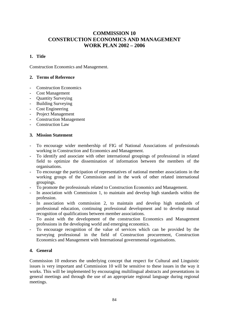# **COMMISSION 10 CONSTRUCTION ECONOMICS AND MANAGEMENT WORK PLAN 2002 – 2006**

## **1. Title**

Construction Economics and Management.

## **2. Terms of Reference**

- Construction Economics
- Cost Management
- Ouantity Surveying
- Building Surveying
- Cost Engineering
- Project Management
- Construction Management
- Construction Law

### **3. Mission Statement**

- To encourage wider membership of FIG of National Associations of professionals working in Construction and Economics and Management.
- To identify and associate with other international groupings of professional in related field to optimize the dissemination of information between the members of the organisations.
- To encourage the participation of representatives of national member associations in the working groups of the Commission and in the work of other related international groupings.
- To promote the professionals related to Construction Economics and Management.
- In association with Commission 1, to maintain and develop high standards within the profession.
- In association with commission 2, to maintain and develop high standards of professional education, continuing professional development and to develop mutual recognition of qualifications between member associations.
- To assist with the development of the construction Economics and Management professions in the developing world and emerging economics.
- To encourage recognition of the value of services which can be provided by the surveying professional in the field of Construction procurement, Construction Economics and Management with International governmental organisations.

## **4. General**

Commission 10 endorses the underlying concept that respect for Cultural and Linguistic issues is very important and Commission 10 will be sensitive to these issues in the way it works. This will be implemented by encouraging multilingual abstracts and presentations in general meetings and through the use of an appropriate regional language during regional meetings.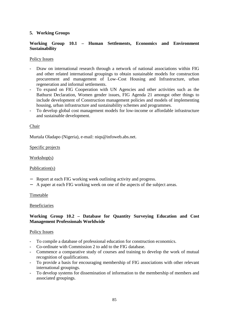## **5. Working Groups**

## **Working Group 10.1 – Human Settlements, Economics and Environment Sustainability**

### Policy Issues

- Draw on international research through a network of national associations within FIG and other related international groupings to obtain sustainable models for construction procurement and management of Low–Cost Housing and Infrastructure, urban regeneration and informal settlements.
- To expand on FIG Cooperation with UN Agencies and other activities such as the Bathurst Declaration, Women gender issues, FIG Agenda 21 amongst other things to include development of Construction management policies and models of implementing housing, urban infrastructure and sustainability schemes and programmes.
- To develop global cost management models for low-income or affordable infrastructure and sustainable development.

### Chair

Murtala Oladapo (Nigeria), e-mail: niqs@infoweb.abs.net.

### Specific projects

Workshop(s)

### Publication(s)

- − Report at each FIG working week outlining activity and progress.
- − A paper at each FIG working week on one of the aspects of the subject areas.

### **Timetable**

### Beneficiaries

### **Working Group 10.2 – Database for Quantity Surveying Education and Cost Management Professionals Worldwide**

### Policy Issues

- To compile a database of professional education for construction economics.
- Co-ordinate with Commission 2 to add to the FIG database.
- Commence a comparative study of courses and training to develop the work of mutual recognition of qualifications.
- To provide a basis for encouraging membership of FIG associations with other relevant international groupings.
- To develop systems for dissemination of information to the membership of members and associated groupings.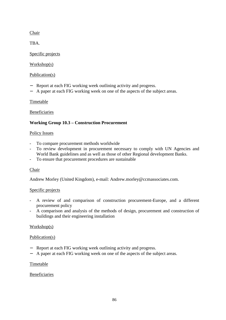## Chair

TBA.

## Specific projects

## Workshop(s)

## Publication(s)

- Report at each FIG working week outlining activity and progress.
- − A paper at each FIG working week on one of the aspects of the subject areas.

## Timetable

## Beneficiaries

## **Working Group 10.3 – Construction Procurement**

## Policy Issues

- To compare procurement methods worldwide
- To review development in procurement necessary to comply with UN Agencies and World Bank guidelines and as well as those of other Regional development Banks.
- To ensure that procurement procedures are sustainable

## **Chair**

Andrew Morley (United Kingdom), e-mail: Andrew.morley@ccmassociates.com.

## Specific projects

- A review of and comparison of construction procurement-Europe, and a different procurement policy
- A comparison and analysis of the methods of design, procurement and construction of buildings and their engineering installation

## Workshop(s)

## Publication(s)

- Report at each FIG working week outlining activity and progress.
- − A paper at each FIG working week on one of the aspects of the subject areas.

## Timetable

## Beneficiaries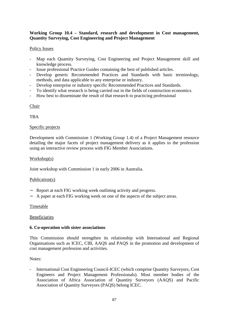## **Working Group 10.4 – Standard, research and development in Cost management, Quantity Surveying, Cost Engineering and Project Management**

### Policy Issues

- Map each Quantity Surveying, Cost Engineering and Project Management skill and knowledge process.
- Issue professional Practice Guides containing the best of published articles.
- Develop generic Recommended Practices and Standards with basic terminology, methods, and data applicable to any enterprise or industry.
- Develop enterprise or industry specific Recommended Practices and Standards.
- To identify what research is being carried out in the fields of construction economics.
- How best to disseminate the result of that research to practicing professional

Chair

**TBA** 

### Specific projects

Development with Commission 1 (Working Group 1.4) of a Project Management resource detailing the major facets of project management delivery as it applies to the profession using an interactive review process with FIG Member Associations.

### Workshop(s)

Joint workshop with Commission 1 in early 2006 in Australia.

### Publication(s)

- − Report at each FIG working week outlining activity and progress.
- − A paper at each FIG working week on one of the aspects of the subject areas.

### Timetable

### Beneficiaries

### **6. Co-operation with sister associations**

This Commission should strengthen its relationship with International and Regional Organisations such as ICEC, CIB, AAQS and PAQS in the promotion and development of cost management profession and activities.

Notes:

- International Cost Engineering Council-ICEC (which comprise Quantity Surveyors, Cost Engineers and Project Management Professionals). Most member bodies of the Association of Africa Association of Quantity Surveyors (AAQS) and Pacific Association of Quantity Surveyors (PAQS) belong ICEC.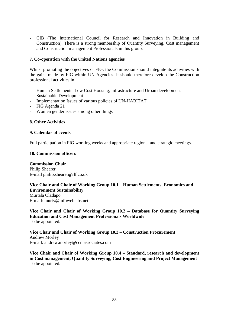- CIB (The International Council for Research and Innovation in Building and Construction). There is a strong membership of Quantity Surveying, Cost management and Construction management Professionals in this group.

### **7. Co-operation with the United Nations agencies**

Whilst promoting the objectives of FIG, the Commission should integrate its activities with the gains made by FIG within UN Agencies. It should therefore develop the Construction professional activities in

- Human Settlements–Low Cost Housing, Infrastructure and Urban development
- Sustainable Development
- Implementation Issues of various policies of UN-HABITAT
- FIG Agenda 21
- Women gender issues among other things

### **8. Other Activities**

#### **9. Calendar of events**

Full participation in FIG working weeks and appropriate regional and strategic meetings.

### **10. Commission officers**

**Commission Chair**  Philip Shearer E-mail philip.shearer@rlf.co.uk

#### **Vice Chair and Chair of Working Group 10.1 – Human Settlements, Economics and Environment Sustainability**

Murtala Oladapo E-mail: murty@infoweb.abs.net

**Vice Chair and Chair of Working Group 10.2 – Database for Quantity Surveying Education and Cost Management Professionals Worldwide**  To be appointed.

**Vice Chair and Chair of Working Group 10.3 – Construction Procurement**  Andrew Morley E-mail: andrew.morley@ccmassociates.com

**Vice Chair and Chair of Working Group 10.4 – Standard, research and development in Cost management, Quantity Surveying, Cost Engineering and Project Management**  To be appointed.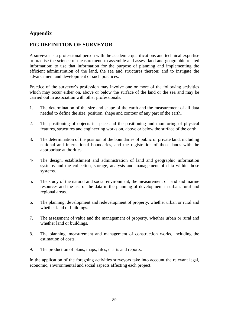# **Appendix**

# **FIG DEFINITION OF SURVEYOR**

A surveyor is a professional person with the academic qualifications and technical expertise to practise the science of measurement; to assemble and assess land and geographic related information; to use that information for the purpose of planning and implementing the efficient administration of the land, the sea and structures thereon; and to instigate the advancement and development of such practices.

Practice of the surveyor's profession may involve one or more of the following activities which may occur either on, above or below the surface of the land or the sea and may be carried out in association with other professionals.

- 1. The determination of the size and shape of the earth and the measurement of all data needed to define the size, position, shape and contour of any part of the earth.
- 2. The positioning of objects in space and the positioning and monitoring of physical features, structures and engineering works on, above or below the surface of the earth.
- 3. The determination of the position of the boundaries of public or private land, including national and international boundaries, and the registration of those lands with the appropriate authorities.
- 4-. The design, establishment and administration of land and geographic information systems and the collection, storage, analysis and management of data within those systems.
- 5. The study of the natural and social environment, the measurement of land and marine resources and the use of the data in the planning of development in urban, rural and regional areas.
- 6. The planning, development and redevelopment of property, whether urban or rural and whether land or buildings.
- 7. The assessment of value and the management of property, whether urban or rural and whether land or buildings.
- 8. The planning, measurement and management of construction works, including the estimation of costs.
- 9. The production of plans, maps, files, charts and reports.

In the application of the foregoing activities surveyors take into account the relevant legal, economic, environmental and social aspects affecting each project.